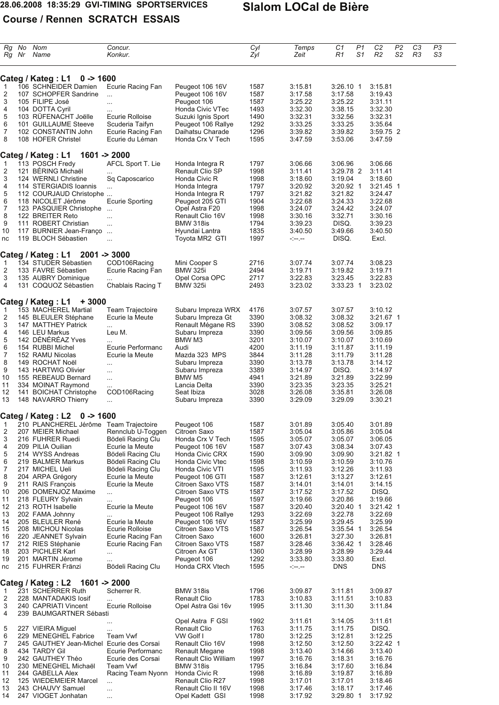### **28.06.2008 18:35:29 GVI-TIMING SPORTSERVICES Slalom LOCal de Bière**

# **Course / Rennen SCRATCH ESSAIS**

| Rg<br>Rg Nr         | No  | Nom<br>Name                                         | Concur.<br>Konkur.                     |                                           | Cyl<br>Zyl   | Temps<br>Zeit      | C1<br>R1             | P1<br>S1 | C <sub>2</sub><br>R <sub>2</sub> | P <sub>2</sub><br>S <sub>2</sub> | C <sub>3</sub><br>R <sub>3</sub> | P <sub>3</sub><br>S3 |
|---------------------|-----|-----------------------------------------------------|----------------------------------------|-------------------------------------------|--------------|--------------------|----------------------|----------|----------------------------------|----------------------------------|----------------------------------|----------------------|
|                     |     | $0 - 1600$<br>Categ / Kateg: L1                     |                                        |                                           |              |                    |                      |          |                                  |                                  |                                  |                      |
| $\mathbf{1}$        |     | 106 SCHNEIDER Damien                                | Ecurie Racing Fan                      | Peugeot 106 16V                           | 1587         | 3:15.81            | $3:26.10$ 1          |          | 3:15.81                          |                                  |                                  |                      |
| 2                   |     | 107 SCHOPFER Sandrine                               | $\cdots$                               | Peugeot 106 16V                           | 1587         | 3:17.58            | 3:17.58              |          | 3:19.43                          |                                  |                                  |                      |
| 3                   |     | 105 FILIPE José                                     | $\ldots$                               | Peugeot 106                               | 1587         | 3:25.22            | 3:25.22              |          | 3:31.11                          |                                  |                                  |                      |
| 4                   |     | 104 DOTTA Cyril                                     | $\ddotsc$                              | Honda Civic VTec                          | 1493         | 3:32.30            | 3:38.15              |          | 3:32.30                          |                                  |                                  |                      |
| 5                   |     | 103 RUFENACHT Joëlle                                | Ecurie Rolloise                        | Suzuki Ignis Sport                        | 1490         | 3:32.31            | 3:32.56              |          | 3:32.31                          |                                  |                                  |                      |
| 6                   |     | 101 GUILLAUME Steeve                                | Scuderia Taifyn                        | Peugeot 106 Rallye                        | 1292         | 3:33.25            | 3:33.25              |          | 3:35.64                          |                                  |                                  |                      |
| $\overline{7}$<br>8 |     | 102 CONSTANTIN John<br>108 HOFER Christel           | Ecurie Racing Fan<br>Ecurie du Léman   | Daihatsu Charade<br>Honda Crx V Tech      | 1296<br>1595 | 3:39.82<br>3:47.59 | 3:39.82<br>3.53.06   |          | 3:59.75 2<br>3:47.59             |                                  |                                  |                      |
|                     |     |                                                     |                                        |                                           |              |                    |                      |          |                                  |                                  |                                  |                      |
|                     |     | Categ / Kateg : L1                                  | $1601 - 2000$                          |                                           |              |                    |                      |          |                                  |                                  |                                  |                      |
| $\mathbf{1}$        |     | 113 POSCH Fredy                                     | AFCL Sport T. Lie                      | Honda Integra R                           | 1797         | 3:06.66            | 3:06.96              |          | 3:06.66                          |                                  |                                  |                      |
| $\overline{2}$<br>3 |     | 121 BERING Michaël<br>124 WERNLI Christine          | $\ddotsc$<br>Sq Caposcarico            | Renault Clio SP<br>Honda Civic R          | 1998<br>1998 | 3:11.41<br>3:18.60 | 3:29.78 2<br>3:19.04 |          | 3:11.41<br>3:18.60               |                                  |                                  |                      |
| 4                   |     | 114 STERGIADIS Ioannis                              | $\ldots$                               | Honda Integra                             | 1797         | 3:20.92            | 3:20.92 1            |          | $3:21.45$ 1                      |                                  |                                  |                      |
| 5                   |     | 112 COURJAUD Christophe                             |                                        | Honda Integra R                           | 1797         | 3:21.82            | 3:21.82              |          | 3:24.47                          |                                  |                                  |                      |
| 6                   |     | 118 NICOLET Jérôme                                  | <b>Ecurie Sporting</b>                 | Peugeot 205 GTI                           | 1904         | 3:22.68            | 3:24.33              |          | 3:22.68                          |                                  |                                  |                      |
| $\overline{7}$      |     | 123 PASQUIER Christophe                             | $\ddotsc$                              | Opel Astra F20                            | 1998         | 3:24.07            | 3:24.42              |          | 3:24.07                          |                                  |                                  |                      |
| 8                   |     | 122 BREITER Reto                                    | $\ddotsc$                              | Renault Clio 16V                          | 1998         | 3:30.16            | 3:32.71              |          | 3:30.16                          |                                  |                                  |                      |
| 9                   |     | 111 ROBERT Christian                                | $\ddotsc$                              | BMW 318is                                 | 1794         | 3:39.23            | DISQ.                |          | 3:39.23                          |                                  |                                  |                      |
| 10                  |     | 117 BURNIER Jean-Franço<br>119 BLOCH Sébastien      | $\ddotsc$                              | Hyundai Lantra<br>Toyota MR2 GTI          | 1835<br>1997 | 3:40.50            | 3:49.66<br>DISQ.     |          | 3:40.50<br>Excl.                 |                                  |                                  |                      |
| nc                  |     |                                                     | $\ddotsc$                              |                                           |              | $- - - -$          |                      |          |                                  |                                  |                                  |                      |
|                     |     | Categ / Kateg: L1                                   | $2001 - 3000$                          |                                           |              |                    |                      |          |                                  |                                  |                                  |                      |
| $\mathbf{1}$        |     | 134 STUDER Sébastien<br>133 FAVRE Sébastien         | COD106Racing                           | Mini Cooper S                             | 2716<br>2494 | 3:07.74<br>3:19.71 | 3:07.74              |          | 3:08.23                          |                                  |                                  |                      |
| $\overline{2}$<br>3 |     | 135 AUBRY Dominique                                 | Ecurie Racing Fan                      | <b>BMW 325i</b><br>Opel Corsa OPC         | 2717         | 3:22.83            | 3:19.82<br>3:23.45   |          | 3:19.71<br>3:22.83               |                                  |                                  |                      |
| 4                   |     | 131 COQUOZ Sébastien                                | Chablais Racing T                      | <b>BMW 325i</b>                           | 2493         | 3:23.02            | 3:33.23 1            |          | 3:23.02                          |                                  |                                  |                      |
|                     |     |                                                     |                                        |                                           |              |                    |                      |          |                                  |                                  |                                  |                      |
| $\mathbf{1}$        |     | Categ / Kateg : L1<br>+3000<br>153 MACHEREL Martial | <b>Team Trajectoire</b>                | Subaru Impreza WRX                        | 4176         | 3:07.57            | 3:07.57              |          | 3:10.12                          |                                  |                                  |                      |
| $\overline{2}$      |     | 145 BLEULER Stéphane                                | Ecurie la Meute                        | Subaru Impreza Gt                         | 3390         | 3:08.32            | 3:08.32              |          | 3:21.67 1                        |                                  |                                  |                      |
| 3                   |     | 147 MATTHEY Patrick                                 | $\ddotsc$                              | Renault Mégane RS                         | 3390         | 3:08.52            | 3:08.52              |          | 3:09.17                          |                                  |                                  |                      |
| 4                   |     | 146 LEU Markus                                      | Leu M.                                 | Subaru Impreza                            | 3390         | 3:09.56            | 3:09.56              |          | 3:09.85                          |                                  |                                  |                      |
| 5                   |     | 142 DÉNÉRÉAZ Yves                                   |                                        | BMW M3                                    | 3201         | 3:10.07            | 3:10.07              |          | 3:10.69                          |                                  |                                  |                      |
| 6                   |     | 154 RUBBI Michel                                    | Ecurie Performanc                      | Audi                                      | 4200         | 3:11.19            | 3:11.87              |          | 3:11.19                          |                                  |                                  |                      |
| 7                   |     | 152 RAMU Nicolas                                    | Ecurie la Meute                        | Mazda 323 MPS                             | 3844         | 3:11.28            | 3:11.79              |          | 3:11.28                          |                                  |                                  |                      |
| 8                   |     | 149 ROCHAT Noël                                     | $\ddotsc$                              | Subaru Impreza                            | 3390         | 3:13.78            | 3:13.78              |          | 3:14.12                          |                                  |                                  |                      |
| 9<br>10             |     | 143 HARTWIG Olivier<br>155 REBEAUD Bernard          | $\ldots$                               | Subaru Impreza<br>BMW M5                  | 3389<br>4941 | 3:14.97<br>3:21.89 | DISQ.<br>3:21.89     |          | 3:14.97<br>3:22.99               |                                  |                                  |                      |
| 11                  |     | 334 MOINAT Raymond                                  | $\cdots$                               | Lancia Delta                              | 3390         | 3:23.35            | 3:23.35              |          | 3:25.21                          |                                  |                                  |                      |
| 12                  | 141 | <b>BOICHAT Christophe</b>                           | COD106Racing                           | Seat Ibiza                                | 3028         | 3:26.08            | 3:35.81              |          | 3:26.08                          |                                  |                                  |                      |
| 13                  |     | 148 NAVARRO Thierry                                 | $\cdots$                               | Subaru Impreza                            | 3390         | 3:29.09            | 3:29.09              |          | 3:30.21                          |                                  |                                  |                      |
|                     |     | Categ / Kateg: L2<br>$0 - 1600$                     |                                        |                                           |              |                    |                      |          |                                  |                                  |                                  |                      |
| $\mathbf{1}$        |     | 210 PLANCHEREL Jérôme Team Trajectoire              |                                        | Peugeot 106                               | 1587         | 3:01.89            | 3:05.40              |          | 3:01.89                          |                                  |                                  |                      |
| $\overline{2}$      |     | 207 MEIER Michael                                   | Rennclub U-Toggen                      | Citroen Saxo                              | 1587         | 3:05.04            | 3:05.86              |          | 3:05.04                          |                                  |                                  |                      |
| 3                   |     | 216 FUHRER Ruedi                                    | Bödeli Racing Clu                      | Honda Crx V Tech                          | 1595         | 3:05.07            | 3:05.07              |          | 3:06.05                          |                                  |                                  |                      |
| 4                   |     | 209 PILIA Ouilian                                   | Ecurie la Meute                        | Peugeot 106 16V                           | 1587         | 3:07.43            | 3:08.34              |          | 3:07.43                          |                                  |                                  |                      |
| 5<br>6              |     | 214 WYSS Andreas                                    | Bödeli Racing Clu                      | Honda Civic CRX                           | 1590<br>1598 | 3:09.90            | 3:09.90<br>3:10.59   |          | 3:21.82 1                        |                                  |                                  |                      |
| $\overline{7}$      |     | 219 BALMER Markus<br>217 MICHEL Ueli                | Bödeli Racing Clu<br>Bödeli Racing Clu | Honda Civic Vtec<br>Honda Civic VTI       | 1595         | 3:10.59<br>3:11.93 | 3:12.26              |          | 3:10.76<br>3:11.93               |                                  |                                  |                      |
| 8                   |     | 204 ARPA Grégory                                    | Ecurie la Meute                        | Peugeot 106 GTI                           | 1587         | 3:12.61            | 3:13.27              |          | 3:12.61                          |                                  |                                  |                      |
| 9                   |     | 211 RAIS François                                   | Ecurie la Meute                        | Citroen Saxo VTS                          | 1587         | 3:14.01            | 3:14.01              |          | 3:14.15                          |                                  |                                  |                      |
| 10                  |     | 206 DOMENJOZ Maxime                                 | $\ldots$                               | Citroen Saxo VTS                          | 1587         | 3:17.52            | 3:17.52              |          | DISQ.                            |                                  |                                  |                      |
| 11                  |     | 218 FLEURY Sylvain                                  | $\ddotsc$                              | Peugeot 106                               | 1597         | 3:19.66            | 3:20.86              |          | 3:19.66                          |                                  |                                  |                      |
| 12                  |     | 213 ROTH Isabelle                                   | Ecurie la Meute                        | Peugeot 106 16V                           | 1587         | 3:20.40            | 3:20.40 1            |          | 3:21.42 1                        |                                  |                                  |                      |
| 13<br>14            |     | 202 FAMA Johnny<br>205 BLEULER René                 | $\ddotsc$                              | Peugeot 106 Rallye<br>Peugeot 106 16V     | 1293<br>1587 | 3:22.69<br>3:25.99 | 3:22.78<br>3:29.45   |          | 3:22.69<br>3:25.99               |                                  |                                  |                      |
| 15                  |     | 208 MICHOU Nicolas                                  | Ecurie la Meute<br>Ecurie Rolloise     | Citroen Saxo VTS                          | 1587         | 3:26.54            | 3:35.54 1            |          | 3:26.54                          |                                  |                                  |                      |
| 16                  |     | 220 JEANNET Sylvain                                 | Ecurie Racing Fan                      | Citroen Saxo                              | 1600         | 3:26.81            | 3:27.30              |          | 3:26.81                          |                                  |                                  |                      |
| 17                  |     | 212 RIES Stéphanie                                  | Ecurie Racing Fan                      | Citroen Saxo VTS                          | 1587         | 3:28.46            | $3:36.42$ 1          |          | 3:28.46                          |                                  |                                  |                      |
| 18                  |     | 203 PICHLER Karl                                    | $\ddotsc$                              | Citroen Ax GT                             | 1360         | 3:28.99            | 3:28.99              |          | 3:29.44                          |                                  |                                  |                      |
| 19                  |     | 201 MARTIN Jérome                                   | $\ldots$                               | Peugeot 106                               | 1292         | 3:33.80            | 3:33.80              |          | Excl.                            |                                  |                                  |                      |
| nc                  |     | 215 FUHRER Fränzi                                   | Bödeli Racing Clu                      | Honda CRX Vtech                           | 1595         | $\sim$ $  -$       | <b>DNS</b>           |          | <b>DNS</b>                       |                                  |                                  |                      |
|                     |     | Categ / Kateg: L2                                   | $1601 - 2000$                          |                                           |              |                    |                      |          |                                  |                                  |                                  |                      |
| $\mathbf 1$         |     | 231 SCHERRER Ruth                                   | Scherrer R.                            | BMW 318is                                 | 1796         | 3:09.87            | 3:11.81              |          | 3:09.87                          |                                  |                                  |                      |
| $\overline{2}$<br>3 |     | 228 MANTADAKIS losif<br>240 CAPRIATI Vincent        | Ecurie Rolloise                        | <b>Renault Clio</b><br>Opel Astra Gsi 16v | 1783<br>1995 | 3:10.83<br>3:11.30 | 3:11.51<br>3:11.30   |          | 3:10.83<br>3:11.84               |                                  |                                  |                      |
| 4                   |     | 239 BAUMGARTNER Sébasti                             |                                        |                                           |              |                    |                      |          |                                  |                                  |                                  |                      |
| 5                   |     |                                                     | $\cdots$                               | Opel Astra F GSI<br><b>Renault Clio</b>   | 1992<br>1763 | 3:11.61            | 3:14.05<br>3:11.75   |          | 3:11.61<br>DISQ.                 |                                  |                                  |                      |
| 6                   |     | 227 VIEIRA Miguel<br>229 MENEGHEL Fabrice           | $\cdots$<br>Team Vwf                   | VW Golf I                                 | 1780         | 3:11.75<br>3:12.25 | 3:12.81              |          | 3:12.25                          |                                  |                                  |                      |
| 7                   |     | 245 GAUTHEY Jean-Michel Ecurie des Corsai           |                                        | Renault Clio 16V                          | 1998         | 3:12.50            | 3:12.50              |          | 3:22.42 1                        |                                  |                                  |                      |
| 8                   |     | 434 TARDY Gil                                       | Ecurie Performanc                      | Renault Megane                            | 1998         | 3:13.40            | 3:14.66              |          | 3:13.40                          |                                  |                                  |                      |
| 9                   |     | 242 GAUTHEY Théo                                    | Ecurie des Corsai                      | <b>Renault Clio William</b>               | 1997         | 3:16.76            | 3:18.31              |          | 3:16.76                          |                                  |                                  |                      |
| 10                  |     | 230 MENEGHEL Michaël                                | Team Vwf                               | <b>BMW 318is</b>                          | 1795         | 3:16.84            | 3:17.60              |          | 3:16.84                          |                                  |                                  |                      |
| 11                  |     | 244 GABELLA Alex                                    | Racing Team Nyonn                      | Honda Civic R                             | 1998         | 3:16.89            | 3:19.87              |          | 3:16.89                          |                                  |                                  |                      |
| 12                  |     | 125 WIEDEMEIER Marcel                               | $\ldots$                               | Renault Clio R27                          | 1998         | 3:17.01            | 3:17.01              |          | 3:18.46                          |                                  |                                  |                      |
| 13                  |     | 243 CHAUVY Samuel                                   | $\ldots$                               | Renault Clio II 16V                       | 1998         | 3:17.46            | 3:18.17              |          | 3:17.46                          |                                  |                                  |                      |
| 14                  |     | 247 VIOGET Jonhatan                                 | $\ldots$                               | Opel Kadett GSI                           | 1998         | 3:17.92            | 3:29.80 1            |          | 3:17.92                          |                                  |                                  |                      |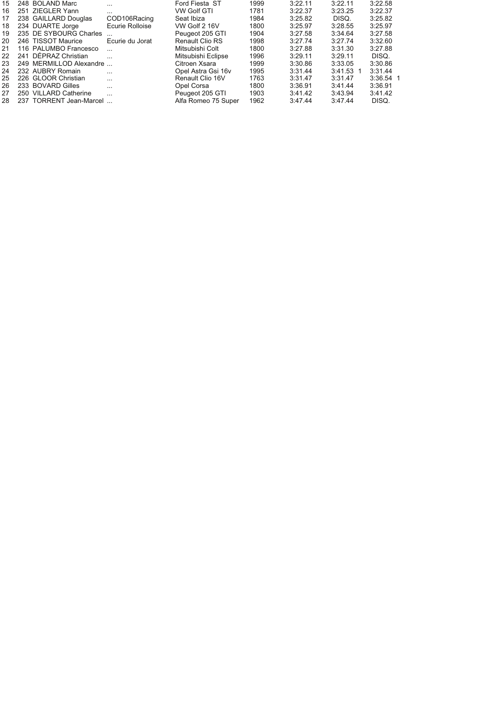| 3:22.58     | 3:22.11     | 3:22.11 | 1999 | Ford Fiesta ST         | .               | 248 BOLAND Marc         | 15 |
|-------------|-------------|---------|------|------------------------|-----------------|-------------------------|----|
| 3:22.37     | 3:23.25     | 3:22.37 | 1781 | VW Golf GTI            | $\cdots$        | 251 ZIEGLER Yann        | 16 |
| 3:25.82     | DISQ.       | 3:25.82 | 1984 | Seat Ibiza             | COD106Racing    | 238 GAILLARD Douglas    | 17 |
| 3:25.97     | 3:28.55     | 3:25.97 | 1800 | VW Golf 2 16V          | Ecurie Rolloise | 234 DUARTE Jorge        | 18 |
| 3:27.58     | 3:34.64     | 3:27.58 | 1904 | Peugeot 205 GTI        |                 | 235 DE SYBOURG Charles  | 19 |
| 3:32.60     | 3:27.74     | 3:27.74 | 1998 | <b>Renault Clio RS</b> | Ecurie du Jorat | 246 TISSOT Maurice      | 20 |
| 3:27.88     | 3:31.30     | 3:27.88 | 1800 | Mitsubishi Colt        |                 | 116 PALUMBO Francesco   | 21 |
| DISQ.       | 3:29.11     | 3:29.11 | 1996 | Mitsubishi Eclipse     | $\cdots$        | 241 DEPRAZ Christian    | 22 |
| 3:30.86     | 3:33.05     | 3:30.86 | 1999 | Citroen Xsara          |                 | 249 MERMILLOD Alexandre | 23 |
| 3:31.44     | $3:41.53$ 1 | 3:31.44 | 1995 | Opel Astra Gsi 16v     | $\cdots$        | 232 AUBRY Romain        | 24 |
| $3:36.54$ 1 | 3:31.47     | 3:31.47 | 1763 | Renault Clio 16V       | $\cdots$        | 226 GLOOR Christian     | 25 |
| 3:36.91     | 3:41.44     | 3:36.91 | 1800 | Opel Corsa             | $\cdots$        | 233 BOVARD Gilles       | 26 |
| 3:41.42     | 3:43.94     | 3:41.42 | 1903 | Peugeot 205 GTI        | $\cdots$        | 250 VILLARD Catherine   | 27 |
| DISQ.       | 3:47.44     | 3:47.44 | 1962 | Alfa Romeo 75 Super    |                 | 237 TORRENT Jean-Marcel | 28 |
|             |             |         |      |                        |                 |                         |    |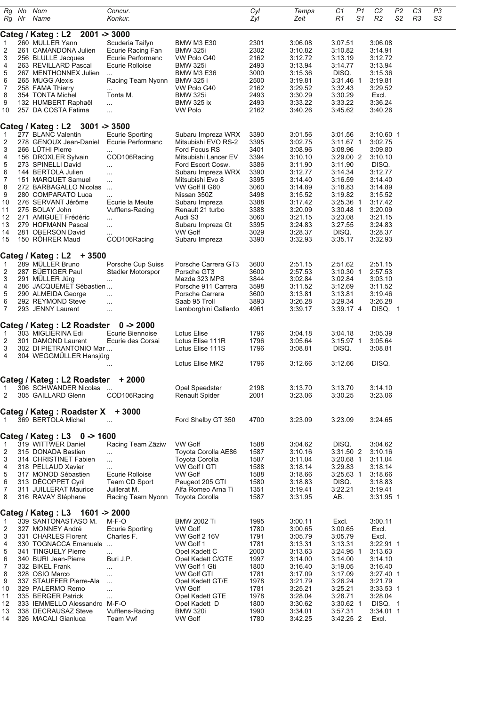| Rg       | No.<br>Rg Nr | Nom<br>Name                                          | Concur.<br>Konkur.                          |                                       | Cyl<br>Zyl   | Temps<br>Zeit      | C1<br>R1               | P1<br>S1             | C <sub>2</sub><br>R <sub>2</sub> | P2<br>S <sub>2</sub> | C <sub>3</sub><br>R <sub>3</sub> | P3<br>S3 |
|----------|--------------|------------------------------------------------------|---------------------------------------------|---------------------------------------|--------------|--------------------|------------------------|----------------------|----------------------------------|----------------------|----------------------------------|----------|
|          |              |                                                      |                                             |                                       |              |                    |                        |                      |                                  |                      |                                  |          |
| 1        |              | Categ / Kateg: L2<br>260 MULLER Yann                 | $2001 - 3000$<br>Scuderia Taifyn            | <b>BMW M3 E30</b>                     | 2301         | 3:06.08            | 3:07.51                |                      | 3:06.08                          |                      |                                  |          |
| 2        |              | 261 CAMANDONA Julien                                 | Ecurie Racing Fan                           | <b>BMW 325i</b>                       | 2302         | 3:10.82            | 3:10.82                |                      | 3:14.91                          |                      |                                  |          |
| 3        |              | 256 BLULLE Jacques                                   | Ecurie Performanc                           | VW Polo G40                           | 2162         | 3:12.72            | 3:13.19                |                      | 3:12.72                          |                      |                                  |          |
| 4        |              | 263 REVILLARD Pascal                                 | Ecurie Rolloise                             | <b>BMW 325i</b>                       | 2493         | 3:13.94            | 3:14.77                |                      | 3:13.94                          |                      |                                  |          |
| 5        |              | 267 MENTHONNEX Julien                                | $\cdots$                                    | <b>BMW M3 E36</b>                     | 3000         | 3:15.36            | DISQ.                  |                      | 3:15.36                          |                      |                                  |          |
| 6        |              | 265 MUGG Alexis                                      | Racing Team Nyonn                           | <b>BMW 325 i</b>                      | 2500         | 3:19.81            | 3:31.46                | $\overline{1}$       | 3:19.81                          |                      |                                  |          |
| 7<br>8   |              | 258 FAMA Thierry<br>354 TONTA Michel                 | $\ddotsc$<br>Tonta M.                       | VW Polo G40<br><b>BMW 325i</b>        | 2162<br>2493 | 3:29.52<br>3:30.29 | 3:32.43<br>3:30.29     |                      | 3:29.52<br>Excl.                 |                      |                                  |          |
| 9        |              | 132 HUMBERT Raphaël                                  | $\ddotsc$                                   | <b>BMW 325 ix</b>                     | 2493         | 3:33.22            | 3:33.22                |                      | 3:36.24                          |                      |                                  |          |
| 10       |              | 257 DA COSTA Fatima                                  | $\ddotsc$                                   | <b>VW Polo</b>                        | 2162         | 3:40.26            | 3:45.62                |                      | 3:40.26                          |                      |                                  |          |
|          |              |                                                      |                                             |                                       |              |                    |                        |                      |                                  |                      |                                  |          |
|          |              | Categ / Kateg: L2                                    | $3001 - 3500$                               |                                       |              |                    |                        |                      |                                  |                      |                                  |          |
| 1        |              | 277 BLANC Valentin<br>278 GENOUX Jean-Daniel         | <b>Ecurie Sporting</b><br>Ecurie Performanc | Subaru Impreza WRX                    | 3390<br>3395 | 3:01.56            | 3:01.56                |                      | 3:10.60 1<br>3:02.75             |                      |                                  |          |
| 2<br>3   |              | 266 LÜTHI Pierre                                     |                                             | Mitsubishi EVO RS-2<br>Ford Focus RS  | 3401         | 3:02.75<br>3:08.96 | $3:11.67$ 1<br>3:08.96 |                      | 3:09.80                          |                      |                                  |          |
| 4        |              | 156 DROXLER Sylvain                                  | COD106Racing                                | Mitsubishi Lancer EV                  | 3394         | 3:10.10            | 3:29.00 2              |                      | 3:10.10                          |                      |                                  |          |
| 5        |              | 273 SPINELLI David                                   | $\cdots$                                    | Ford Escort Cosw.                     | 3386         | 3:11.90            | 3:11.90                |                      | DISQ.                            |                      |                                  |          |
| 6        |              | 144 BERTOLA Julien                                   | $\cdots$                                    | Subaru Impreza WRX                    | 3390         | 3:12.77            | 3:14.34                |                      | 3:12.77                          |                      |                                  |          |
| 7        |              | 151 MARQUET Samuel                                   | $\ddotsc$                                   | Mitsubishi Evo 8                      | 3395         | 3:14.40            | 3:16.59                |                      | 3:14.40                          |                      |                                  |          |
| 8        |              | 272 BARBAGALLO Nicolas                               | $\cdots$                                    | VW Golf II G60                        | 3060         | 3:14.89            | 3:18.83                |                      | 3:14.89                          |                      |                                  |          |
| 9        |              | 280 COMPARATO Luca<br>276 SERVANT Jérôme             | $\ddotsc$<br>Ecurie la Meute                | Nissan 350Z                           | 3498<br>3388 | 3:15.52            | 3:19.82<br>3:25.36     |                      | 3:15.52<br>3:17.42               |                      |                                  |          |
| 10<br>11 |              | 275 BOLAY John                                       | <b>Vufflens-Racing</b>                      | Subaru Impreza<br>Renault 21 turbo    | 3388         | 3:17.42<br>3:20.09 | 3:30.48                | -1<br>$\overline{1}$ | 3:20.09                          |                      |                                  |          |
| 12       |              | 271 AMIGUET Frédéric                                 | $\ddotsc$                                   | Audi S3                               | 3060         | 3:21.15            | 3:23.08                |                      | 3:21.15                          |                      |                                  |          |
| 13       |              | 279 HOFMANN Pascal                                   | $\cdots$                                    | Subaru Impreza Gt                     | 3395         | 3:24.83            | 3:27.55                |                      | 3:24.83                          |                      |                                  |          |
| 14       |              | 281 OBERSON David                                    |                                             | VW Golf                               | 3029         | 3:28.37            | DISQ.                  |                      | 3:28.37                          |                      |                                  |          |
| 15       |              | 150 RÖHRER Maud                                      | COD106Racing                                | Subaru Impreza                        | 3390         | 3:32.93            | 3:35.17                |                      | 3:32.93                          |                      |                                  |          |
|          |              | Categ / Kateg: L2<br>$+3500$                         |                                             |                                       |              |                    |                        |                      |                                  |                      |                                  |          |
| 1        |              | 289 MÜLLER Bruno                                     | Porsche Cup Suiss                           | Porsche Carrera GT3                   | 3600         | 2:51.15            | 2:51.62                |                      | 2:51.15                          |                      |                                  |          |
| 2        |              | 287 BÜETIGER Paul                                    | Stadler Motorspor                           | Porsche GT3                           | 3600         | 2:57.53            | 3:10.30 1              |                      | 2:57.53                          |                      |                                  |          |
| 3        |              | 291 MÜLLER Jürg                                      |                                             | Mazda 323 MPS                         | 3844         | 3:02.84            | 3:02.84                |                      | 3:03.10                          |                      |                                  |          |
| 4        |              | 286 JACQUEMET Sébastien                              |                                             | Porsche 911 Carrera                   | 3598         | 3:11.52            | 3:12.69                |                      | 3:11.52                          |                      |                                  |          |
| 5        |              | 290 ALMEIDA George                                   | $\cdots$                                    | Porsche Carrera                       | 3600         | 3:13.81            | 3:13.81                |                      | 3:19.46                          |                      |                                  |          |
| 6<br>7   |              | 292 REYMOND Steve<br>293 JENNY Laurent               | $\ddotsc$<br>$\cdots$                       | Saab 95 Troll<br>Lamborghini Gallardo | 3893<br>4961 | 3:26.28<br>3:39.17 | 3:29.34<br>3:39.17 4   |                      | 3:26.28<br>DISQ. 1               |                      |                                  |          |
|          |              |                                                      |                                             |                                       |              |                    |                        |                      |                                  |                      |                                  |          |
|          |              | Categ / Kateg: L2 Roadster                           | $0 - 2000$                                  |                                       |              |                    |                        |                      |                                  |                      |                                  |          |
| 1        |              | 303 MIGLIERINA Edi                                   | Ecurie Biennoise                            | Lotus Elise                           | 1796         | 3:04.18            | 3:04.18                |                      | 3:05.39                          |                      |                                  |          |
| 2        |              | 301 DAMOND Laurent                                   | Ecurie des Corsai                           | Lotus Elise 111R                      | 1796         | 3:05.64            | $3:15.97$ 1            |                      | 3:05.64                          |                      |                                  |          |
| 3<br>4   |              | 302 DI PIETRANTONIO Mar<br>304 WEGGMULLER Hansjürg   |                                             | Lotus Elise 111S                      | 1796         | 3:08.81            | DISQ.                  |                      | 3:08.81                          |                      |                                  |          |
|          |              |                                                      | $\cdots$                                    | Lotus Elise MK2                       | 1796         | 3:12.66            | 3:12.66                |                      | DISQ.                            |                      |                                  |          |
|          |              |                                                      |                                             |                                       |              |                    |                        |                      |                                  |                      |                                  |          |
| 1        |              | Categ / Kateg : L2 Roadster<br>306 SCHWANDER Nicolas | $+2000$                                     | Opel Speedster                        | 2198         | 3:13.70            | 3:13.70                |                      | 3:14.10                          |                      |                                  |          |
| 2        |              | 305 GAILLARD Glenn                                   | $\ldots$<br>COD106Racing                    | <b>Renault Spider</b>                 | 2001         | 3:23.06            | 3:30.25                |                      | 3:23.06                          |                      |                                  |          |
|          |              |                                                      |                                             |                                       |              |                    |                        |                      |                                  |                      |                                  |          |
|          |              | Categ / Kateg : Roadster X                           | $+3000$                                     |                                       |              |                    |                        |                      |                                  |                      |                                  |          |
| -1       |              | 369 BERTOLA Michel                                   |                                             | Ford Shelby GT 350                    | 4700         | 3:23.09            | 3:23.09                |                      | 3:24.65                          |                      |                                  |          |
|          |              | Categ / Kateg: L3<br>$0 - 1600$                      |                                             |                                       |              |                    |                        |                      |                                  |                      |                                  |          |
| -1       |              | 319 WITTWER Daniel                                   | Racing Team Zäziw                           | <b>VW Golf</b>                        | 1588         | 3:04.62            | DISQ.                  |                      | 3:04.62                          |                      |                                  |          |
| 2        |              | 315 DONADA Bastien                                   | $\ddotsc$                                   | Toyota Corolla AE86                   | 1587         | 3:10.16            | 3:31.50 2              |                      | 3:10.16                          |                      |                                  |          |
| 3        |              | 314 CHRISTINET Fabien                                | $\ddotsc$                                   | Toyota Corolla                        | 1587         | 3:11.04            | 3:20.68 1              |                      | 3:11.04                          |                      |                                  |          |
| 4        |              | 318 PELLAUD Xavier                                   | $\cdots$                                    | VW Golf I GTI                         | 1588         | 3:18.14            | 3:29.83                |                      | 3:18.14                          |                      |                                  |          |
| 5        |              | 317 MONOD Sébastien                                  | Ecurie Rolloise                             | <b>VW Golf</b>                        | 1588         | 3:18.66            | $3:25.63$ 1            |                      | 3:18.66                          |                      |                                  |          |
| 6<br>7   |              | 313 DÉCOPPET Cyril<br>311 JUILLERAT Maurice          | Team CD Sport<br>Juillerat M.               | Peugeot 205 GTI<br>Alfa Romeo Arna Ti | 1580<br>1351 | 3:18.83<br>3:19.41 | DISQ.<br>3:22.21       |                      | 3:18.83<br>3:19.41               |                      |                                  |          |
| 8        |              | 316 RAVAY Stéphane                                   | Racing Team Nyonn                           | Toyota Corolla                        | 1587         | 3:31.95            | AB.                    |                      | 3:31.95 1                        |                      |                                  |          |
|          |              |                                                      |                                             |                                       |              |                    |                        |                      |                                  |                      |                                  |          |
|          |              | Categ / Kateg : L3<br>1601 -> 2000                   |                                             |                                       |              |                    |                        |                      |                                  |                      |                                  |          |
| 1        |              | 339 SANTONASTASO M.                                  | M-F-O                                       | <b>BMW 2002 Ti</b>                    | 1995         | 3:00.11            | Excl.                  |                      | 3:00.11                          |                      |                                  |          |
| 2        |              | 327 MONNEY André<br>331 CHARLES Florent              | <b>Ecurie Sporting</b>                      | <b>VW Golf</b><br>VW Golf 2 16V       | 1780<br>1791 | 3:00.65            | 3:00.65<br>3:05.79     |                      | Excl.                            |                      |                                  |          |
| 3<br>4   |              | 330 TOGNACCA Emanuele                                | Charles F.                                  | VW Golf 1                             | 1781         | 3:05.79<br>3:13.31 | 3:13.31                |                      | Excl.<br>3:22.91 1               |                      |                                  |          |
| 5        |              | 341 TINGUELY Pierre                                  |                                             | Opel Kadett C                         | 2000         | 3:13.63            | 3:24.95 1              |                      | 3:13.63                          |                      |                                  |          |
| 6        |              | 340 BURI Jean-Pierre                                 | Buri J.P.                                   | Opel Kadett C/GTE                     | 1997         | 3:14.00            | 3:14.00                |                      | 3:14.10                          |                      |                                  |          |
| 7        |              | 332 BIKEL Frank                                      | $\ddotsc$                                   | VW Golf 1 Gti                         | 1800         | 3:16.40            | 3:19.05                |                      | 3:16.40                          |                      |                                  |          |
| 8        |              | 328 OSIO Marco                                       | $\ddotsc$                                   | <b>VW Golf GTI</b>                    | 1781         | 3:17.09            | 3:17.09                |                      | $3:27.40$ 1                      |                      |                                  |          |
| 9        |              | 337 STAUFFER Pierre-Ala                              | $\ddotsc$                                   | Opel Kadett GT/E                      | 1978         | 3:21.79            | 3:26.24                |                      | 3:21.79                          |                      |                                  |          |
| 10<br>11 |              | 329 PALERMO Remo<br>335 BERGER Patrick               | $\ddotsc$                                   | VW Golf<br>Opel Kadett GTE            | 1781<br>1978 | 3:25.21<br>3:28.04 | 3:25.21<br>3:28.71     |                      | $3:33.53$ 1<br>3:28.04           |                      |                                  |          |
| 12       |              | 333 IEMMELLO Alessandro M-F-O                        | $\cdots$                                    | Opel Kadett D                         | 1800         | 3:30.62            | $3:30.62$ 1            |                      | DISQ. 1                          |                      |                                  |          |
| 13       |              | 338 DECRAUSAZ Steve                                  | Vufflens-Racing                             | <b>BMW 320i</b>                       | 1990         | 3:34.01            | 3:57.31                |                      | 3:34.01 1                        |                      |                                  |          |
| 14       |              | 326 MACALI Gianluca                                  | Team Vwf                                    | VW Golf                               | 1780         | 3:42.25            | 3:42.25 2              |                      | Excl.                            |                      |                                  |          |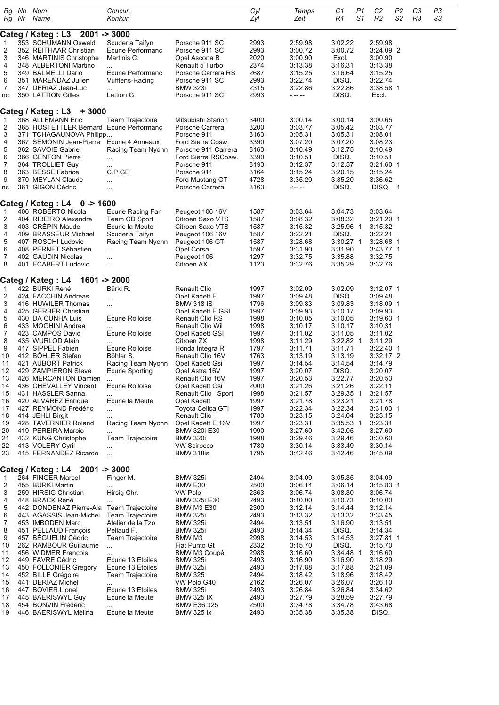| Rg       | No    | Nom                                                | Concur.                               |                                          | Cyl          | Temps                | C1                     | P1             | C <sub>2</sub>       | P <sub>2</sub> | C <sub>3</sub> | P3 |
|----------|-------|----------------------------------------------------|---------------------------------------|------------------------------------------|--------------|----------------------|------------------------|----------------|----------------------|----------------|----------------|----|
|          | Rg Nr | Name                                               | Konkur.                               |                                          | Zyl          | Zeit                 | R1                     | S <sub>1</sub> | R <sub>2</sub>       | S <sub>2</sub> | R3             | S3 |
|          |       |                                                    |                                       |                                          |              |                      |                        |                |                      |                |                |    |
|          |       | Categ / Kateg: L3                                  | $2001 - 3000$                         |                                          |              |                      |                        |                |                      |                |                |    |
| 1<br>2   |       | 353 SCHUMANN Oswald<br>352 REITHAAR Christian      | Scuderia Taifyn<br>Ecurie Performanc  | Porsche 911 SC<br>Porsche 911 SC         | 2993<br>2993 | 2:59.98<br>3:00.72   | 3:02.22<br>3:00.72     |                | 2:59.98<br>3:24.09 2 |                |                |    |
| 3        |       | 346 MARTINIS Christophe                            | Martinis C.                           | Opel Ascona B                            | 2020         | 3:00.90              | Excl.                  |                | 3:00.90              |                |                |    |
| 4        |       | 348 ALBERTONI Martino                              | $\cdots$                              | Renault 5 Turbo                          | 2374         | 3:13.38              | 3:16.31                |                | 3:13.38              |                |                |    |
| 5        |       | 349 BALMELLI Dario                                 | Ecurie Performanc                     | Porsche Carrera RS                       | 2687         | 3:15.25              | 3:16.64                |                | 3:15.25              |                |                |    |
| 6        |       | 351 MARENDAZ Julien                                | Vufflens-Racing                       | Porsche 911 SC                           | 2993         | 3:22.74              | DISQ.                  |                | 3:22.74              |                |                |    |
| 7<br>nc  |       | 347 DERIAZ Jean-Luc<br>350 LATTION Gilles          | <br>Lattion G.                        | <b>BMW 323i</b><br>Porsche 911 SC        | 2315<br>2993 | 3:22.86<br>$- - - -$ | 3:22.86<br>DISQ.       |                | 3:38.58 1<br>Excl.   |                |                |    |
|          |       |                                                    |                                       |                                          |              |                      |                        |                |                      |                |                |    |
|          |       | Categ / Kateg: L3<br>$+3000$                       |                                       |                                          |              |                      |                        |                |                      |                |                |    |
| 1        |       | 368 ALLEMANN Eric                                  | <b>Team Trajectoire</b>               | Mitsubishi Starion                       | 3400         | 3:00.14              | 3:00.14                |                | 3:00.65              |                |                |    |
| 2        |       | 365 HOSTETTLER Bernard Ecurie Performanc           |                                       | Porsche Carrera                          | 3200         | 3:03.77<br>3:05.31   | 3:05.42<br>3:05.31     |                | 3:03.77<br>3:08.01   |                |                |    |
| 3<br>4   |       | 371 TCHAGAUNOVA Philipp<br>367 SEMONIN Jean-Pierre | Ecurie 4 Anneaux                      | Porsche 911<br>Ford Sierra Cosw.         | 3163<br>3390 | 3:07.20              | 3:07.20                |                | 3:08.23              |                |                |    |
| 5        |       | 362 SAVOIE Gabriel                                 | Racing Team Nyonn                     | Porsche 911 Carrera                      | 3163         | 3:10.49              | 3:12.75                |                | 3:10.49              |                |                |    |
| 6        |       | 366 GENTON Pierre                                  | $\ddotsc$                             | Ford Sierra RSCosw.                      | 3390         | 3:10.51              | DISQ.                  |                | 3:10.51              |                |                |    |
| 7<br>8   |       | 364 TROLLIET Guy<br>363 BESSE Fabrice              | <br>C.P.GE                            | Porsche 911                              | 3193         | 3:12.37              | 3:12.37                |                | 3:21.60 1            |                |                |    |
| 9        |       | 370 MEYLAN Claude                                  |                                       | Porsche 911<br>Ford Mustang GT           | 3164<br>4728 | 3:15.24<br>3:35.20   | 3:20.15<br>3:35.20     |                | 3:15.24<br>3:36.62   |                |                |    |
| nc       |       | 361 GIGON Cédric                                   |                                       | Porsche Carrera                          | 3163         | - -- --              | DISQ.                  |                | DISQ. 1              |                |                |    |
|          |       |                                                    |                                       |                                          |              |                      |                        |                |                      |                |                |    |
|          |       | Categ / Kateg: L4<br>$0 - 1600$                    |                                       |                                          |              |                      |                        |                |                      |                |                |    |
| 1<br>2   |       | 406 ROBERTO Nicola<br>404 RIBEIRO Alexandre        | Ecurie Racing Fan<br>Team CD Sport    | Peugeot 106 16V<br>Citroen Saxo VTS      | 1587<br>1587 | 3:03.64<br>3:08.32   | 3:04.73<br>3:08.32     |                | 3:03.64<br>3:21.20 1 |                |                |    |
| 3        |       | 403 CREPIN Maude                                   | Ecurie la Meute                       | Citroen Saxo VTS                         | 1587         | 3:15.32              | 3:25.96 1              |                | 3:15.32              |                |                |    |
| 4        |       | 409 BRASSEUR Michael                               | Scuderia Taifyn                       | Peugeot 106 16V                          | 1587         | 3:22.21              | DISQ.                  |                | 3:22.21              |                |                |    |
| 5        |       | 407 ROSCHI Ludovic                                 | Racing Team Nyonn                     | Peugeot 106 GTI                          | 1587         | 3:28.68              | $3:30.27$ 1            |                | 3:28.68 1            |                |                |    |
| 6        |       | 408 PERNET Sébastien                               | .                                     | Opel Corsa                               | 1597         | 3:31.90              | 3:31.90                |                | 3:43.77 1            |                |                |    |
| 7<br>8   |       | 402 GAUDIN Nicolas<br>401 ECABERT Ludovic          | .<br>                                 | Peugeot 106<br>Citroen AX                | 1297<br>1123 | 3:32.75<br>3:32.76   | 3:35.88<br>3:35.29     |                | 3:32.75<br>3:32.76   |                |                |    |
|          |       |                                                    |                                       |                                          |              |                      |                        |                |                      |                |                |    |
|          |       | Categ / Kateg: L4                                  | $1601 - 2000$                         |                                          |              |                      |                        |                |                      |                |                |    |
| 1        |       | 422 BURKI René                                     | Bürki R.                              | <b>Renault Clio</b>                      | 1997         | 3:02.09              | 3:02.09                |                | 3:12.07 1            |                |                |    |
| 2<br>3   |       | 424 FACCHIN Andreas                                |                                       | Opel Kadett E                            | 1997         | 3:09.48              | DISQ.                  |                | 3:09.48              |                |                |    |
| 4        |       | 416 HUWILER Thomas<br>425 GERBER Christian         | <br>                                  | <b>BMW 318 IS</b><br>Opel Kadett E GSI   | 1796<br>1997 | 3:09.83<br>3:09.93   | 3:09.83<br>3:10.17     |                | 3:18.09 1<br>3:09.93 |                |                |    |
| 5        |       | 430 DA CUNHA Luis                                  | Ecurie Rolloise                       | <b>Renault Clio RS</b>                   | 1998         | 3:10.05              | 3:10.05                |                | 3:19.63 1            |                |                |    |
| 6        |       | 433 MOGHINI Andrea                                 |                                       | Renault Clio Wil                         | 1998         | 3:10.17              | 3:10.17                |                | 3:10.31              |                |                |    |
| 7        |       | 423 CAMPOS David                                   | Ecurie Rolloise                       | Opel Kadett GSI                          | 1997         | 3:11.02              | 3:11.05                |                | 3:11.02              |                |                |    |
| 8<br>9   |       | 435 WURLOD Alain<br>417 SIPPEL Fabien              | $\cdots$<br>Ecurie Rolloise           | Citroen ZX<br>Honda Integra R            | 1998<br>1797 | 3:11.29<br>3:11.71   | $3:22.82$ 1<br>3:11.71 |                | 3:11.29<br>3:22.40 1 |                |                |    |
| 10       |       | 412 BOHLER Stefan                                  | Böhler S.                             | Renault Clio 16V                         | 1763         | 3:13.19              | 3:13.19                |                | 3:32.17 2            |                |                |    |
| 11       |       | 421 AUBORT Patrick                                 | Racing Team Nyonn                     | Opel Kadett Gsi                          | 1997         | 3:14.54              | 3:14.54                |                | 3:14.79              |                |                |    |
| 12       |       | 429 ZAMPIERON Steve                                | Ecurie Sporting                       | Opel Astra 16V                           | 1997         | 3:20.07              | DISQ.                  |                | 3:20.07              |                |                |    |
| 13<br>14 |       | 426 MERCANTON Damien<br>436 CHEVALLEY Vincent      | $\cdots$<br>Ecurie Rolloise           | Renault Clio 16V<br>Opel Kadett Gsi      | 1997<br>2000 | 3:20.53<br>3:21.26   | 3:22.11<br>3:21.26     |                | 3:20.53<br>3:22.11   |                |                |    |
| 15       |       | 431 HASSLER Sanna                                  |                                       | Renault Clio Sport                       | 1998         | 3:21.57              | 3:29.35 1              |                | 3:21.57              |                |                |    |
| 16       |       | 420 ALVAREZ Enrique                                | Ecurie la Meute                       | Opel Kadett                              | 1997         | 3:21.78              | 3:23.21                |                | 3:21.78              |                |                |    |
| 17       |       | 427 REYMOND Frédéric                               |                                       | Toyota Celica GTI                        | 1997         | 3:22.34              | 3:22.34                |                | 3:31.03 1            |                |                |    |
| 18<br>19 |       | 414 JEHLI Birgit<br>428 TAVERNIER Roland           | Racing Team Nyonn                     | <b>Renault Clio</b><br>Opel Kadett E 16V | 1783<br>1997 | 3:23.15<br>3:23.31   | 3:24.04<br>$3:35.53$ 1 |                | 3:23.15<br>3:23.31   |                |                |    |
| 20       |       | 419 PEREIRA Marcio                                 | .                                     | <b>BMW 320i E30</b>                      | 1990         | 3:27.60              | 3:42.05                |                | 3:27.60              |                |                |    |
| 21       |       | 432 KÜNG Christophe                                | Team Trajectoire                      | <b>BMW 320i</b>                          | 1998         | 3:29.46              | 3:29.46                |                | 3:30.60              |                |                |    |
| 22       |       | 413 VOLERY Cyril                                   |                                       | <b>VW Scirocco</b>                       | 1780         | 3:30.14              | 3:33.49                |                | 3:30.14              |                |                |    |
| 23       |       | 415 FERNANDEZ Ricardo                              | $\ddotsc$                             | BMW 318is                                | 1795         | 3:42.46              | 3:42.46                |                | 3:45.09              |                |                |    |
|          |       | Categ / Kateg : L4<br>$2001 - 3000$                |                                       |                                          |              |                      |                        |                |                      |                |                |    |
| 1        |       | 264 FINGER Marcel                                  | Finger M.                             | <b>BMW 325i</b>                          | 2494         | 3:04.09              | 3:05.35                |                | 3:04.09              |                |                |    |
| 2        |       | 455 BÜRKI Martin                                   |                                       | BMW E30                                  | 2500         | 3:06.14              | 3:06.14                |                | $3:15.83$ 1          |                |                |    |
| 3<br>4   |       | 259 HIRSIG Christian<br>448 BRACK René             | Hirsig Chr.                           | <b>VW Polo</b><br>BMW 325i E30           | 2363<br>2493 | 3:06.74<br>3:10.00   | 3:08.30<br>3:10.73     |                | 3:06.74<br>3:10.00   |                |                |    |
| 5        |       | 442 DONDENAZ Pierre-Ala                            | <b>Team Trajectoire</b>               | BMW M3 E30                               | 2300         | 3:12.14              | 3:14.44                |                | 3:12.14              |                |                |    |
| 6        |       | 443 AGASSIS Jean-Michel                            | <b>Team Trajectoire</b>               | <b>BMW 325i</b>                          | 2493         | 3:13.32              | 3:13.32                |                | 3:33.45              |                |                |    |
| 7        |       | 453 IMBODEN Marc                                   | Atelier de la Tzo                     | <b>BMW 325i</b>                          | 2494         | 3:13.51              | 3:16.90                |                | 3:13.51              |                |                |    |
| 8<br>9   |       | 451 PELLAUD François<br>457 BÉGUELIN Cédric        | Pellaud F.<br>Team Trajectoire        | <b>BMW 325i</b><br>BMW M3                | 2493<br>2998 | 3:14.34<br>3:14.53   | DISQ.<br>3:14.53       |                | 3:14.34<br>3:27.81 1 |                |                |    |
| 10       |       | 262 RAMBOUR Guillaume                              |                                       | Fiat Punto Gt                            | 2332         | 3:15.70              | DISQ.                  |                | 3:15.70              |                |                |    |
| 11       |       | 456 WIDMER François                                |                                       | BMW M3 Coupé                             | 2988         | 3:16.60              | $3:34.48$ 1            |                | 3:16.60              |                |                |    |
| 12       |       | 449 FAVRE Cédric                                   | Ecurie 13 Etoiles                     | <b>BMW 325i</b>                          | 2493         | 3:16.90              | 3:16.90                |                | 3:18.29              |                |                |    |
| 13<br>14 |       | 450 FOLLONIER Gregory<br>452 BILLE Grégoire        | Ecurie 13 Etoiles<br>Team Trajectoire | <b>BMW 325i</b><br><b>BMW 325</b>        | 2493<br>2494 | 3:17.88<br>3:18.42   | 3:17.88<br>3:18.96     |                | 3:21.09<br>3:18.42   |                |                |    |
| 15       |       | 441 DERIAZ Michel                                  | .                                     | VW Polo G40                              | 2162         | 3:26.07              | 3:26.07                |                | 3:26.10              |                |                |    |
| 16       |       | 447 BOVIER Lionel                                  | Ecurie 13 Etoiles                     | <b>BMW 325i</b>                          | 2493         | 3:26.84              | 3:26.84                |                | 3:34.62              |                |                |    |
| 17       |       | 445 BAERISWYL Guy                                  | Ecurie la Meute                       | <b>BMW 325 IX</b>                        | 2493         | 3:27.79              | 3:28.59                |                | 3:27.79              |                |                |    |
| 18<br>19 |       | 454 BONVIN Frédéric<br>446 BAERISWYL Mélina        | <br>Ecurie la Meute                   | BMW E36 325<br><b>BMW 325 lx</b>         | 2500<br>2493 | 3:34.78<br>3:35.38   | 3:34.78<br>3:35.38     |                | 3:43.68<br>DISQ.     |                |                |    |
|          |       |                                                    |                                       |                                          |              |                      |                        |                |                      |                |                |    |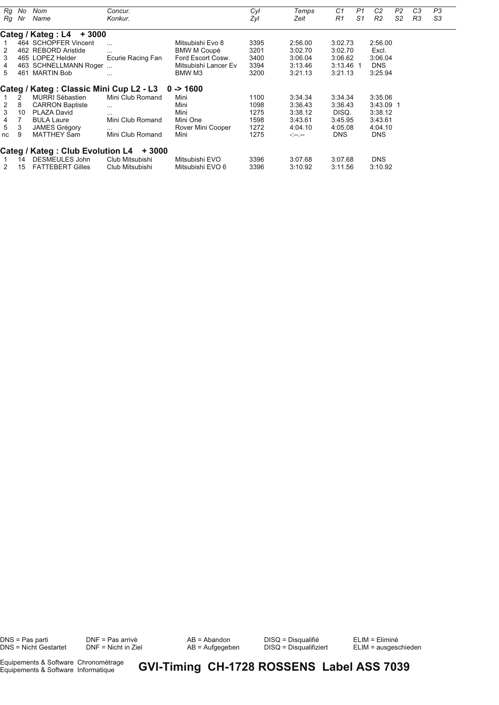| Rg              | No | Nom                                                | Concur.           |                      | Cyl  | Temps                | C1             | P1             | C <sub>2</sub> | P2             | C <sub>3</sub> | P3 |
|-----------------|----|----------------------------------------------------|-------------------|----------------------|------|----------------------|----------------|----------------|----------------|----------------|----------------|----|
| Ra              | Nr | Name                                               | Konkur.           |                      | Zyl  | Zeit                 | R <sub>1</sub> | S <sub>1</sub> | R <sub>2</sub> | S <sub>2</sub> | R <sub>3</sub> | S3 |
|                 |    |                                                    |                   |                      |      |                      |                |                |                |                |                |    |
|                 |    | Categ / Kateg : L4<br>$+3000$                      |                   |                      |      |                      |                |                |                |                |                |    |
|                 |    | 464 SCHOPFER Vincent                               | $\cdots$          | Mitsubishi Evo 8     | 3395 | 2:56.00              | 3:02.73        |                | 2:56.00        |                |                |    |
| 2               |    | 462 REBORD Aristide                                | $\cdots$          | <b>BMW M Coupé</b>   | 3201 | 3:02.70              | 3:02.70        |                | Excl.          |                |                |    |
| 3               |    | 465 LOPEZ Helder                                   | Ecurie Racing Fan | Ford Escort Cosw.    | 3400 | 3:06.04              | 3:06.62        |                | 3:06.04        |                |                |    |
| 4               |    | 463 SCHNELLMANN Roger                              |                   | Mitsubishi Lancer Ev | 3394 | 3:13.46              | 3:13.46 1      |                | <b>DNS</b>     |                |                |    |
| 5               |    | 461 MARTIN Bob                                     | $\cdots$          | BMW M3               | 3200 | 3:21.13              | 3:21.13        |                | 3:25.94        |                |                |    |
|                 |    |                                                    |                   |                      |      |                      |                |                |                |                |                |    |
|                 |    | Categ / Kateg : Classic Mini Cup L2 - L3 0 -> 1600 |                   |                      |      |                      |                |                |                |                |                |    |
|                 | 2  | <b>MURRI Sébastien</b>                             | Mini Club Romand  | Mini                 | 1100 | 3:34.34              | 3:34.34        |                | 3:35.06        |                |                |    |
| 2               | 8  | <b>CARRON Baptiste</b>                             | $\cdots$          | Mini                 | 1098 | 3:36.43              | 3:36.43        |                | 3:43.09 1      |                |                |    |
| 3               | 10 | PLAZA David                                        | $\cdots$          | Mini                 | 1275 | 3:38.12              | DISQ.          |                | 3:38.12        |                |                |    |
| 4               | 7  | <b>BULA Laure</b>                                  | Mini Club Romand  | Mini One             | 1598 | 3:43.61              | 3:45.95        |                | 3:43.61        |                |                |    |
| $5\overline{)}$ | 3  | <b>JAMES Grégory</b>                               | $\cdots$          | Rover Mini Cooper    | 1272 | 4:04.10              | 4:05.08        |                | 4:04.10        |                |                |    |
| nc              | 9  | <b>MATTHEY Sam</b>                                 | Mini Club Romand  | Mini                 | 1275 | $-1 - 1 - 1 - 1 = 0$ | <b>DNS</b>     |                | <b>DNS</b>     |                |                |    |
|                 |    |                                                    |                   |                      |      |                      |                |                |                |                |                |    |
|                 |    | Categ / Kateg : Club Evolution L4                  | + 3000            |                      |      |                      |                |                |                |                |                |    |
|                 | 14 | DESMEULES John                                     | Club Mitsubishi   | Mitsubishi EVO       | 3396 | 3:07.68              | 3:07.68        |                | <b>DNS</b>     |                |                |    |
| 2               | 15 | <b>FATTEBERT Gilles</b>                            | Club Mitsubishi   | Mitsubishi EVO 6     | 3396 | 3:10.92              | 3.11.56        |                | 3:10.92        |                |                |    |

DNS = Pas parti DNF = Pas arrivé AB = Abandon DISQ = Disqualifié ELIM = Eliminé

ELIM = Eliminé<br>ELIM = ausgeschieden

Equipements & Software Chronométrage<br>Equipements & Software Informatique

**GVI-Timing CH-1728 ROSSENS Label ASS 7039**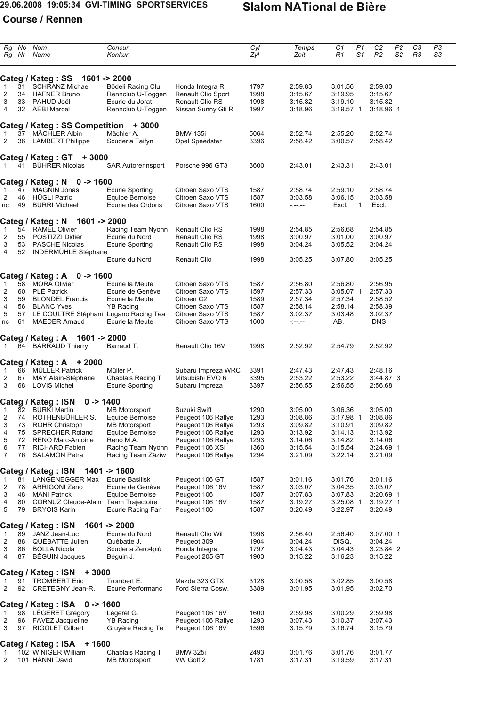## **29.06.2008 19:05:34 GVI-TIMING SPORTSERVICES Slalom NATional de Bière**

# **Course / Rennen**

|                | Rg No<br>Rg Nr | Nom<br>Name                                             | Concur.<br>Konkur.                  |                                           | Cyl<br>Zyl   | Temps<br>Zeit        | C1<br>R1               | P1<br>S1 | C <sub>2</sub><br>R <sub>2</sub> | P <sub>2</sub><br>S2 | C <sub>3</sub><br>R3 | P3<br>S3 |  |
|----------------|----------------|---------------------------------------------------------|-------------------------------------|-------------------------------------------|--------------|----------------------|------------------------|----------|----------------------------------|----------------------|----------------------|----------|--|
|                |                |                                                         |                                     |                                           |              |                      |                        |          |                                  |                      |                      |          |  |
|                |                | Categ / Kateg: SS                                       | $1601 - 2000$                       |                                           |              |                      |                        |          |                                  |                      |                      |          |  |
| 1              | 31             | SCHRANZ Michael                                         | Bödeli Racing Clu                   | Honda Integra R                           | 1797         | 2:59.83              | 3:01.56                |          | 2:59.83                          |                      |                      |          |  |
| 2              | 34             | <b>HAFNER Bruno</b>                                     | Rennclub U-Toggen                   | Renault Clio Sport                        | 1998         | 3:15.67              | 3:19.95                |          | 3:15.67                          |                      |                      |          |  |
| 3              | 33             | PAHUD Joël                                              | Ecurie du Jorat                     | <b>Renault Clio RS</b>                    | 1998         | 3:15.82              | 3:19.10                |          | 3:15.82                          |                      |                      |          |  |
| 4              |                | 32 AEBI Marcel                                          | Rennclub U-Toggen                   | Nissan Sunny Gti R                        | 1997         | 3:18.96              | $3:19.57$ 1            |          | $3:18.96$ 1                      |                      |                      |          |  |
|                |                | <b>Categ / Kateg: SS Competition</b>                    | $+3000$                             |                                           |              |                      |                        |          |                                  |                      |                      |          |  |
| 1              | 37             | MÄCHLER Albin                                           | Mächler A.                          | <b>BMW 135i</b>                           | 5064         | 2:52.74              | 2:55.20                |          | 2:52.74                          |                      |                      |          |  |
| 2              | 36             | <b>LAMBERT Philippe</b>                                 | Scuderia Taifyn                     | Opel Speedster                            | 3396         | 2:58.42              | 3:00.57                |          | 2:58.42                          |                      |                      |          |  |
|                |                | Categ / Kateg : $GT + 3000$                             |                                     |                                           |              |                      |                        |          |                                  |                      |                      |          |  |
| 1              | 41             | <b>BÜHRER Nicolas</b>                                   | <b>SAR Autorennsport</b>            | Porsche 996 GT3                           | 3600         | 2:43.01              | 2:43.31                |          | 2:43.01                          |                      |                      |          |  |
|                |                | Categ / Kateg: N<br>$0 - 1600$                          |                                     |                                           |              |                      |                        |          |                                  |                      |                      |          |  |
| 1              | 47             | <b>MAGNIN Jonas</b>                                     | <b>Ecurie Sporting</b>              | Citroen Saxo VTS                          | 1587         | 2:58.74              | 2:59.10                |          | 2:58.74                          |                      |                      |          |  |
| 2              | 46             | <b>HÜGLI Patric</b>                                     | Equipe Bernoise                     | Citroen Saxo VTS                          | 1587         | 3:03.58              | 3:06.15                |          | 3:03.58                          |                      |                      |          |  |
| nc             | 49             | <b>BURRI Michael</b>                                    | Ecurie des Ordons                   | Citroen Saxo VTS                          | 1600         | $-1 - 1 - 1 - 1 = 0$ | Excl.                  | 1        | Excl.                            |                      |                      |          |  |
|                |                | Categ / Kateg: N<br>$1601 - 2000$                       |                                     |                                           |              |                      |                        |          |                                  |                      |                      |          |  |
| 1              | 54             | <b>RAMEL Olivier</b><br>POSTIZZI Didier                 | Racing Team Nyonn<br>Ecurie du Nord | <b>Renault Clio RS</b>                    | 1998         | 2:54.85              | 2:56.68<br>3:01.00     |          | 2:54.85<br>3:00.97               |                      |                      |          |  |
| 2<br>3         | 55<br>53       | <b>PASCHE Nicolas</b>                                   | <b>Ecurie Sporting</b>              | <b>Renault Clio RS</b><br>Renault Clio RS | 1998<br>1998 | 3:00.97<br>3:04.24   | 3:05.52                |          | 3:04.24                          |                      |                      |          |  |
| $\overline{4}$ | 52             | INDERMÜHLE Stéphane                                     | Ecurie du Nord                      | <b>Renault Clio</b>                       | 1998         | 3:05.25              | 3:07.80                |          | 3:05.25                          |                      |                      |          |  |
|                |                |                                                         |                                     |                                           |              |                      |                        |          |                                  |                      |                      |          |  |
|                |                | Categ / Kateg: A<br>$0 - 1600$                          |                                     |                                           |              |                      |                        |          |                                  |                      |                      |          |  |
| 1              | 58<br>60       | <b>MORA Olivier</b><br><b>PLÉ Patrick</b>               | Ecurie la Meute<br>Ecurie de Genève | Citroen Saxo VTS<br>Citroen Saxo VTS      | 1587         | 2:56.80              | 2:56.80                |          | 2:56.95                          |                      |                      |          |  |
| 2              | 59             | <b>BLONDEL Francis</b>                                  | Ecurie la Meute                     | Citroen C <sub>2</sub>                    | 1597         | 2:57.33              | $3:05.07$ 1<br>2:57.34 |          | 2:57.33<br>2:58.52               |                      |                      |          |  |
| 3<br>4         | 56             | <b>BLANC Yves</b>                                       | <b>YB Racing</b>                    | Citroen Saxo VTS                          | 1589<br>1587 | 2:57.34<br>2:58.14   | 2:58.14                |          | 2:58.39                          |                      |                      |          |  |
| 5              |                | 57 LE COULTRE Stéphani Lugano Racing Tea                |                                     | Citroen Saxo VTS                          | 1587         | 3:02.37              | 3:03.48                |          | 3:02.37                          |                      |                      |          |  |
| nc             | 61             | <b>MAEDER Arnaud</b>                                    | Ecurie la Meute                     | Citroen Saxo VTS                          | 1600         | $- - - - -$          | AB.                    |          | <b>DNS</b>                       |                      |                      |          |  |
|                |                |                                                         |                                     |                                           |              |                      |                        |          |                                  |                      |                      |          |  |
| 1              |                | Categ / Kateg: A<br>$1601 - 2000$<br>64 BARRAUD Thierry | Barraud T.                          | Renault Clio 16V                          | 1998         | 2:52.92              | 2:54.79                |          | 2:52.92                          |                      |                      |          |  |
|                |                | Categ / Kateg : $A + 2000$                              |                                     |                                           |              |                      |                        |          |                                  |                      |                      |          |  |
| 1              | 66             | <b>MÜLLER Patrick</b>                                   | Müller P.                           | Subaru Impreza WRC                        | 3391         | 2:47.43              | 2:47.43                |          | 2:48.16                          |                      |                      |          |  |
| 2              | 67             | MAY Alain-Stéphane                                      | Chablais Racing T                   | Mitsubishi EVO 6                          | 3395         | 2:53.22              | 2:53.22                |          | 3:44.87 3                        |                      |                      |          |  |
| 3              | 68             | <b>LOVIS Michel</b>                                     | Ecurie Sporting                     | Subaru Impreza                            | 3397         | 2:56.55              | 2:56.55                |          | 2:56.68                          |                      |                      |          |  |
|                |                | <b>Categ / Kateg: ISN</b><br>$0 - 1400$                 |                                     |                                           |              |                      |                        |          |                                  |                      |                      |          |  |
|                |                | 82 BÜRKI Martin                                         | <b>MB Motorsport</b>                | Suzuki Swift                              | 1290         | 3:05.00              | 3:06.36                |          | 3:05.00                          |                      |                      |          |  |
| 2              | 74             | ROTHENBÜHLER S.                                         | Equipe Bernoise                     | Peugeot 106 Rallye                        | 1293         | 3:08.86              | $3:17.98$ 1            |          | 3:08.86                          |                      |                      |          |  |
| 3              |                | 73 ROHR Christoph                                       | <b>MB Motorsport</b>                | Peugeot 106 Rallye                        | 1293         | 3:09.82              | 3:10.91                |          | 3:09.82                          |                      |                      |          |  |
| 4              | 75             | <b>SPRECHER Roland</b>                                  | Equipe Bernoise                     | Peugeot 106 Rallye                        | 1293         | 3:13.92              | 3:14.13                |          | 3:13.92                          |                      |                      |          |  |
| 5              | 72             | <b>RENO Marc-Antoine</b>                                | Reno M.A.                           | Peugeot 106 Rallye                        | 1293         | 3:14.06              | 3:14.82                |          | 3:14.06                          |                      |                      |          |  |
| 6              | 77             | RICHARD Fabien                                          | Racing Team Nyonn                   | Peugeot 106 XSI                           | 1360         | 3:15.54              | 3:15.54                |          | $3:24.69$ 1                      |                      |                      |          |  |
| 7              | 76             | <b>SALAMON Petra</b>                                    | Racing Team Zäziw                   | Peugeot 106 Rallye                        | 1294         | 3:21.09              | 3:22.14                |          | 3:21.09                          |                      |                      |          |  |
|                |                | <b>Categ / Kateg: ISN</b>                               | 1401 -> 1600                        |                                           |              |                      |                        |          |                                  |                      |                      |          |  |
| 1              | 81             | LANGENEGGER Max                                         | Ecurie Basilisk                     | Peugeot 106 GTI                           | 1587         | 3:01.16              | 3:01.76                |          | 3:01.16                          |                      |                      |          |  |
| 2              | 78             | <b>ARRIGONI Zeno</b>                                    | Ecurie de Genève                    | Peugeot 106 16V                           | 1587         | 3:03.07              | 3:04.35                |          | 3:03.07                          |                      |                      |          |  |
| 3              | 48             | <b>MANI Patrick</b>                                     | Equipe Bernoise                     | Peugeot 106                               | 1587         | 3:07.83              | 3:07.83                |          | 3:20.69 1                        |                      |                      |          |  |
| 4              | 80             | CORNUZ Claude-Alain Team Trajectoire                    |                                     | Peugeot 106 16V                           | 1587         | 3:19.27              | $3:25.08$ 1            |          | $3:19.27$ 1                      |                      |                      |          |  |
| 5              | 79             | <b>BRYOIS Karin</b>                                     | Ecurie Racing Fan                   | Peugeot 106                               | 1587         | 3:20.49              | 3:22.97                |          | 3:20.49                          |                      |                      |          |  |
|                |                | Categ / Kateg: ISN                                      | $1601 - 2000$                       |                                           |              |                      |                        |          |                                  |                      |                      |          |  |
| $\mathbf{1}$   | 89             | JANZ Jean-Luc                                           | Ecurie du Nord                      | Renault Clio Wil                          | 1998         | 2:56.40              | 2:56.40                |          | $3:07.00$ 1                      |                      |                      |          |  |
| 2              | 88             | QUÈBATTE Julien                                         | Québatte J.                         | Peugeot 309                               | 1904         | 3:04.24              | DISQ.                  |          | 3:04.24                          |                      |                      |          |  |
| 3              | 86             | <b>BOLLA Nicola</b>                                     | Scuderia Zero4più                   | Honda Integra                             | 1797         | 3:04.43              | 3:04.43                |          | 3:23.84 2                        |                      |                      |          |  |
| 4              | 87             | <b>BEGUIN Jacques</b>                                   | Béguin J.                           | Peugeot 205 GTI                           | 1903         | 3:15.22              | 3:16.23                |          | 3:15.22                          |                      |                      |          |  |
|                |                | Categ / Kateg: ISN + 3000                               |                                     |                                           |              |                      |                        |          |                                  |                      |                      |          |  |
| 1<br>2         | 91             | <b>TROMBERT Eric</b><br>92 CRETEGNY Jean-R.             | Trombert E.<br>Ecurie Performanc    | Mazda 323 GTX<br>Ford Sierra Cosw.        | 3128<br>3389 | 3:00.58<br>3:01.95   | 3:02.85<br>3:01.95     |          | 3:00.58<br>3:02.70               |                      |                      |          |  |
|                |                | <b>Categ / Kateg: ISA</b><br>$0 - 1600$                 |                                     |                                           |              |                      |                        |          |                                  |                      |                      |          |  |
| $\mathbf{1}$   |                | 98 LÉGERET Grégory                                      | Légeret G.                          | Peugeot 106 16V                           | 1600         | 2:59.98              | 3:00.29                |          | 2:59.98                          |                      |                      |          |  |
| 2              |                | 96 FAVEZ Jacqueline                                     | <b>YB Racing</b>                    | Peugeot 106 Rallye                        | 1293         | 3:07.43              | 3:10.37                |          | 3:07.43                          |                      |                      |          |  |
| 3              | 97             | <b>RIGOLET Gilbert</b>                                  | Gruyère Racing Te                   | Peugeot 106 16V                           | 1596         | 3:15.79              | 3:16.74                |          | 3:15.79                          |                      |                      |          |  |
|                |                | Categ / Kateg: ISA + 1600                               |                                     |                                           |              |                      |                        |          |                                  |                      |                      |          |  |
| 1              |                | 102 WINIGER William                                     | Chablais Racing T                   | <b>BMW 325i</b>                           | 2493         | 3:01.76              | 3:01.76                |          | 3:01.77                          |                      |                      |          |  |
| 2              |                | 101 HÄNNI David                                         | <b>MB Motorsport</b>                | VW Golf 2                                 | 1781         | 3:17.31              | 3:19.59                |          | 3:17.31                          |                      |                      |          |  |
|                |                |                                                         |                                     |                                           |              |                      |                        |          |                                  |                      |                      |          |  |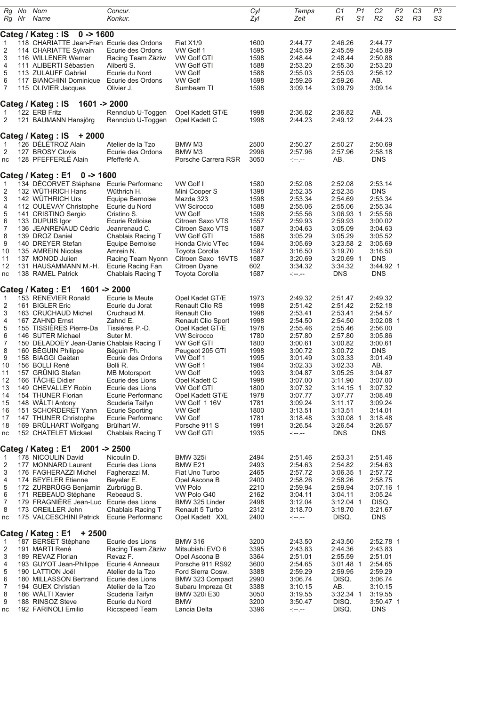| Rg<br>Rg Nr             | No | Nom<br>Name                                                                   | Concur.<br>Konkur. |                              | Cyl<br>Zyl | Temps<br>Zeit   | C1<br>R1    | P1<br>S <sub>1</sub> | C <sub>2</sub><br>R <sub>2</sub> | P2<br>S <sub>2</sub> | C3<br>R3 | P3<br>S3 |
|-------------------------|----|-------------------------------------------------------------------------------|--------------------|------------------------------|------------|-----------------|-------------|----------------------|----------------------------------|----------------------|----------|----------|
|                         |    |                                                                               |                    |                              |            |                 |             |                      |                                  |                      |          |          |
| $\overline{1}$          |    | Categ / Kateg : IS<br>$0 - 1600$<br>118 CHARIATTE Jean-Fran Ecurie des Ordons |                    | Fiat X1/9                    | 1600       | 2:44.77         | 2:46.26     |                      | 2:44.77                          |                      |          |          |
| $\overline{\mathbf{c}}$ |    | 114 CHARIATTE Sylvain                                                         | Ecurie des Ordons  | VW Golf 1                    | 1595       | 2:45.59         | 2:45.59     |                      | 2:45.89                          |                      |          |          |
| 3                       |    | 116 WILLENER Werner                                                           | Racing Team Zäziw  | <b>VW Golf GTI</b>           | 1598       | 2:48.44         | 2:48.44     |                      | 2:50.88                          |                      |          |          |
| 4                       |    | 111 ALIBERTI Sébastien                                                        | Aliberti S.        | <b>VW Golf GTI</b>           | 1588       | 2:53.20         | 2:55.30     |                      | 2:53.20                          |                      |          |          |
|                         |    |                                                                               | Ecurie du Nord     | <b>VW Golf</b>               | 1588       | 2:55.03         | 2:55.03     |                      | 2:56.12                          |                      |          |          |
| 5                       |    | 113 ZULAUFF Gabriel                                                           |                    |                              | 1598       | 2:59.26         | 2:59.26     |                      |                                  |                      |          |          |
| 6                       |    | 117 BIANCHINI Dominique                                                       | Ecurie des Ordons  | <b>VW Golf</b><br>Sumbeam TI |            |                 |             |                      | AB.                              |                      |          |          |
| 7                       |    | 115 OLIVIER Jacques                                                           | Olivier J.         |                              | 1598       | 3:09.14         | 3:09.79     |                      | 3:09.14                          |                      |          |          |
|                         |    | Categ / Kateg : IS<br>$1601 - 2000$                                           |                    |                              |            |                 |             |                      |                                  |                      |          |          |
| -1                      |    | 122 ERB Fritz                                                                 | Rennclub U-Toggen  | Opel Kadett GT/E             | 1998       | 2:36.82         | 2:36.82     |                      | AB.                              |                      |          |          |
| $\overline{c}$          |    | 121 BAUMANN Hansjörg                                                          | Rennclub U-Toggen  | Opel Kadett C                | 1998       | 2:44.23         | 2:49.12     |                      | 2:44.23                          |                      |          |          |
|                         |    |                                                                               |                    |                              |            |                 |             |                      |                                  |                      |          |          |
|                         |    | Categ / Kateg : IS<br>$+2000$                                                 |                    |                              |            |                 |             |                      |                                  |                      |          |          |
| $\overline{1}$          |    | 126 DÉLÉTROZ Alain                                                            | Atelier de la Tzo  | BMW M3                       | 2500       | 2:50.27         | 2:50.27     |                      | 2:50.69                          |                      |          |          |
| 2                       |    | 127 BROSY Clovis                                                              | Ecurie des Ordons  | BMW M3                       | 2996       | 2:57.96         | 2:57.96     |                      | 2:58.18                          |                      |          |          |
| nc                      |    | 128 PFEFFERLE Alain                                                           | Pfefferlé A.       | Porsche Carrera RSR          | 3050       | $- - - -$       | AB.         |                      | <b>DNS</b>                       |                      |          |          |
|                         |    |                                                                               |                    |                              |            |                 |             |                      |                                  |                      |          |          |
|                         |    | Categ / Kateg : E1<br>$0 - 1600$                                              |                    |                              |            |                 |             |                      |                                  |                      |          |          |
| $\overline{1}$          |    | 134 DÉCORVET Stéphane                                                         | Ecurie Performanc  | VW Golf I                    | 1580       | 2:52.08         | 2:52.08     |                      | 2:53.14                          |                      |          |          |
| $\overline{\mathbf{c}}$ |    | 132 WÜTHRICH Hans                                                             | Wüthrich H.        | Mini Cooper S                | 1398       | 2:52.35         | 2:52.35     |                      | <b>DNS</b>                       |                      |          |          |
| 3                       |    | 142 WÜTHRICH Urs                                                              | Equipe Bernoise    | Mazda 323                    | 1598       | 2:53.34         | 2:54.69     |                      | 2:53.34                          |                      |          |          |
| 4                       |    | 112 OULEVAY Christophe                                                        | Ecurie du Nord     | <b>VW Scirocco</b>           | 1588       | 2:55.06         | 2:55.06     |                      | 2:55.34                          |                      |          |          |
| 5                       |    | 141 CRISTINO Sergio                                                           | Cristino S.        | <b>VW Golf</b>               | 1598       | 2:55.56         | $3:06.93$ 1 |                      | 2:55.56                          |                      |          |          |
| 6                       |    | 133 DUPUIS Igor                                                               | Ecurie Rolloise    | Citroen Saxo VTS             | 1557       | 2:59.93         | 2:59.93     |                      | 3:00.02                          |                      |          |          |
| $\overline{7}$          |    | 136 JEANRENAUD Cédric                                                         | Jeanrenaud C.      | Citroen Saxo VTS             | 1587       | 3:04.63         | 3:05.09     |                      | 3:04.63                          |                      |          |          |
| 8                       |    | 139 DROZ Daniel                                                               | Chablais Racing T  | <b>VW Golf GTI</b>           | 1588       | 3:05.29         | 3:05.29     |                      | 3:05.52                          |                      |          |          |
| 9                       |    | 140 DREYER Stefan                                                             | Equipe Bernoise    | Honda Civic VTec             | 1594       | 3:05.69         | 3:23.58 2   |                      | 3:05.69                          |                      |          |          |
| 10                      |    | 135 AMREIN Nicolas                                                            | Amrein N.          | Toyota Corolla               | 1587       | 3:16.50         | 3:19.70     |                      | 3:16.50                          |                      |          |          |
| 11                      |    | 137 MONOD Julien                                                              | Racing Team Nyonn  | Citroen Saxo 16VTS           | 1587       | 3:20.69         | 3:20.69 1   |                      | <b>DNS</b>                       |                      |          |          |
| 12                      |    | 131 HAUSAMMANN M.-H.                                                          | Ecurie Racing Fan  | Citroen Dyane                | 602        | 3:34.32         | 3:34.32     |                      | 3:44.92 1                        |                      |          |          |
| nc                      |    | 138 RAMEL Patrick                                                             | Chablais Racing T  | Toyota Corolla               | 1587       | $- - - - -$     | <b>DNS</b>  |                      | <b>DNS</b>                       |                      |          |          |
|                         |    |                                                                               |                    |                              |            |                 |             |                      |                                  |                      |          |          |
|                         |    | Categ / Kateg : E1                                                            | $1601 - 2000$      |                              |            |                 |             |                      |                                  |                      |          |          |
| $\mathbf{1}$            |    | 153 RENEVIER Ronald                                                           | Ecurie la Meute    | Opel Kadet GT/E              | 1973       | 2:49.32         | 2:51.47     |                      | 2:49.32                          |                      |          |          |
| $\overline{\mathbf{c}}$ |    | 161 BIGLER Eric                                                               | Ecurie du Jorat    | <b>Renault Clio RS</b>       | 1998       | 2:51.42         | 2:51.42     |                      | 2:52.18                          |                      |          |          |
| 3                       |    | 163 CRUCHAUD Michel                                                           | Cruchaud M.        | <b>Renault Clio</b>          | 1998       | 2:53.41         | 2:53.41     |                      | 2:54.57                          |                      |          |          |
| 4                       |    | 167 ZAHND Ernst                                                               | Zahnd E.           | Renault Clio Sport           | 1998       | 2:54.50         | 2:54.50     |                      | 3:02.08 1                        |                      |          |          |
| 5                       |    | 155 TISSIÈRES Pierre-Da                                                       | Tissières P.-D.    | Opel Kadet GT/E              | 1978       | 2:55.46         | 2:55.46     |                      | 2:56.00                          |                      |          |          |
| 6                       |    | 146 SUTER Michael                                                             | Suter M.           | <b>VW Scirocco</b>           | 1780       | 2:57.80         | 2:57.80     |                      | 3:05.86                          |                      |          |          |
| 7                       |    | 150 DELADOEY Jean-Danie Chablais Racing T                                     |                    | VW Golf GTI                  | 1800       | 3:00.61         | 3:00.82     |                      | 3:00.61                          |                      |          |          |
| 8                       |    | 160 BÉGUIN Philippe                                                           | Béguin Ph.         | Peugeot 205 GTI              | 1998       | 3:00.72         | 3:00.72     |                      | <b>DNS</b>                       |                      |          |          |
| 9                       |    | 158 BIAGGI Gaëtan                                                             | Ecurie des Ordons  | VW Golf 1                    | 1995       | 3:01.49         | 3:03.33     |                      | 3:01.49                          |                      |          |          |
| 10                      |    | 156 BOLLI René                                                                | Bolli R.           | VW Golf 1                    | 1984       | 3:02.33         | 3:02.33     |                      | AB.                              |                      |          |          |
| 11                      |    | 157 GRUNIG Stefan                                                             | MB Motorsport      | <b>VW Golf</b>               | 1993       | 3:04.87         | 3:05.25     |                      | 3:04.87                          |                      |          |          |
| 12                      |    | 166 TÂCHE Didier                                                              | Ecurie des Lions   | Opel Kadett C                | 1998       | 3:07.00         | 3:11.90     |                      | 3:07.00                          |                      |          |          |
| 13                      |    | 149 CHEVALLEY Robin                                                           | Ecurie des Lions   | <b>VW Golf GTI</b>           | 1800       | 3:07.32         | $3:14.15$ 1 |                      | 3:07.32                          |                      |          |          |
| 14                      |    | 154 THUNER Florian                                                            | Ecurie Performanc  | Opel Kadett GT/E             | 1978       | 3:07.77         | 3:07.77     |                      | 3:08.48                          |                      |          |          |
| 15                      |    | 148 WÄLTI Antony                                                              | Scuderia Taifyn    | VW Golf 116V                 | 1781       | 3:09.24         | 3:11.17     |                      | 3:09.24                          |                      |          |          |
| 16                      |    | 151 SCHORDERET Yann                                                           | Ecurie Sporting    | <b>VW Golf</b>               | 1800       | 3:13.51         | 3:13.51     |                      | 3:14.01                          |                      |          |          |
| 17                      |    | 147 THUNER Christophe                                                         | Ecurie Performanc  | <b>VW Golf</b>               | 1781       | 3:18.48         | 3:30.08 1   |                      | 3:18.48                          |                      |          |          |
| 18                      |    | 169 BRÜLHART Wolfgang                                                         | Brülhart W.        | Porsche 911 S                | 1991       | 3:26.54         | 3:26.54     |                      | 3:26.57                          |                      |          |          |
| nc                      |    | 152 CHATELET Mickael                                                          | Chablais Racing T  | <b>VW Golf GTI</b>           | 1935       | $- - - - -$     | <b>DNS</b>  |                      | <b>DNS</b>                       |                      |          |          |
|                         |    |                                                                               |                    |                              |            |                 |             |                      |                                  |                      |          |          |
|                         |    | Categ / Kateg : E1                                                            | $2001 - 2500$      |                              |            |                 |             |                      |                                  |                      |          |          |
| $\mathbf{1}$            |    | 178 NICOULIN David                                                            | Nicoulin D.        | <b>BMW 325i</b>              | 2494       | 2:51.46         | 2:53.31     |                      | 2:51.46                          |                      |          |          |
| $\overline{\mathbf{c}}$ |    | 177 MONNARD Laurent                                                           | Ecurie des Lions   | BMW <sub>E21</sub>           | 2493       | 2:54.63         | 2:54.82     |                      | 2:54.63                          |                      |          |          |
| 3                       |    | 176 FAGHERAZZI Michel                                                         | Fagherazzi M.      | Fiat Uno Turbo               | 2465       | 2:57.72         | 3:06.35 1   |                      | 2:57.72                          |                      |          |          |
| 4                       |    | 174 BEYELER Etienne                                                           | Beyeler E.         | Opel Ascona B                | 2400       | 2:58.26         | 2:58.26     |                      | 2:58.75                          |                      |          |          |
| 5                       |    | 172 ZURBRUGG Benjamin                                                         | Zurbrügg B.        | <b>VW Polo</b>               | 2210       | 2:59.94         | 2:59.94     |                      | $3:07.16$ 1                      |                      |          |          |
| 6                       |    | 171 REBEAUD Stéphane                                                          | Rebeaud S.         | VW Polo G40                  | 2162       | 3:04.11         | 3:04.11     |                      | 3:05.24                          |                      |          |          |
| 7                       |    | 179 FRAGNIÈRE Jean-Luc                                                        | Ecurie des Lions   | BMW 325 Linder               | 2498       | 3:12.04         | 3:12.04 1   |                      | DISQ.                            |                      |          |          |
| 8                       |    | 173 OREILLER John                                                             | Chablais Racing T  | Renault 5 Turbo              | 2312       | 3:18.70         | 3:18.70     |                      | 3:21.67                          |                      |          |          |
| nc                      |    | 175 VALCESCHINI Patrick Ecurie Performanc                                     |                    | Opel Kadett XXL              | 2400       | - -- --         | DISQ.       |                      | <b>DNS</b>                       |                      |          |          |
|                         |    |                                                                               |                    |                              |            |                 |             |                      |                                  |                      |          |          |
|                         |    | Categ / Kateg : E1<br>+ 2500                                                  |                    |                              |            |                 |             |                      |                                  |                      |          |          |
| $\mathbf{1}$            |    | 187 BERSET Stéphane                                                           | Ecurie des Lions   | <b>BMW 316</b>               | 3200       | 2:43.50         | 2:43.50     |                      | 2:52.78 1                        |                      |          |          |
| $\overline{2}$          |    | 191 MARTI René                                                                | Racing Team Zäziw  | Mitsubishi EVO 6             | 3395       | 2:43.83         | 2:44.36     |                      | 2:43.83                          |                      |          |          |
| 3                       |    | 189 REVAZ Florian                                                             | Revaz F.           | Opel Ascona B                | 3364       | 2:51.01         | 2:55.59     |                      | 2:51.01                          |                      |          |          |
| 4                       |    | 193 GUYOT Jean-Philippe                                                       | Ecurie 4 Anneaux   | Porsche 911 RS92             | 3600       | 2:54.65         | 3:01.48 1   |                      | 2:54.65                          |                      |          |          |
| 5                       |    | 190 LATTION Joël                                                              | Atelier de la Tzo  | Ford Sierra Cosw.            | 3388       | 2:59.29         | 2:59.95     |                      | 2:59.29                          |                      |          |          |
| 6                       |    | 180 MILLASSON Bertrand                                                        | Ecurie des Lions   | BMW 323 Compact              | 2990       | 3:06.74         | DISQ.       |                      | 3:06.74                          |                      |          |          |
| $\overline{7}$          |    | 194 GUEX Christian                                                            | Atelier de la Tzo  | Subaru Impreza Gt            | 3388       | 3:10.15         | AB.         |                      | 3:10.15                          |                      |          |          |
| 8                       |    | 186 WÄLTI Xavier                                                              | Scuderia Taifyn    | BMW 320i E30                 | 3050       | 3:19.55         | 3:32.34 1   |                      | 3:19.55                          |                      |          |          |
| 9                       |    | 188 RINSOZ Steve                                                              | Ecurie du Nord     | <b>BMW</b>                   | 3200       | 3:50.47         | DISQ.       |                      | $3:50.47$ 1                      |                      |          |          |
| nc                      |    | 192 FARINOLI Emilio                                                           | Riccspeed Team     | Lancia Delta                 | 3396       | $\sim$ - $\sim$ | DISQ.       |                      | <b>DNS</b>                       |                      |          |          |
|                         |    |                                                                               |                    |                              |            |                 |             |                      |                                  |                      |          |          |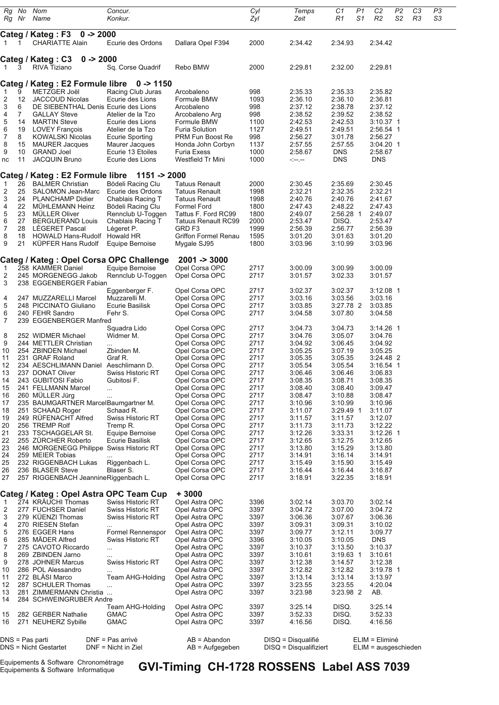| Rg                | Rg Nr    | No Nom<br>Name                                     | Concur.<br>Konkur.                        |                                                | Cyl<br>Zyl   | Temps<br>Zeit                                  | C1<br>R1              | P1<br>S1 | C2<br>R2                               | P <sub>2</sub><br>S <sub>2</sub> | C <sub>3</sub><br>R <sub>3</sub> | P <sub>3</sub><br>S3 |  |
|-------------------|----------|----------------------------------------------------|-------------------------------------------|------------------------------------------------|--------------|------------------------------------------------|-----------------------|----------|----------------------------------------|----------------------------------|----------------------------------|----------------------|--|
|                   |          | $0 - 2000$<br>Categ / Kateg : F3                   |                                           |                                                |              |                                                |                       |          |                                        |                                  |                                  |                      |  |
| 1                 |          | <b>CHARIATTE Alain</b>                             | Ecurie des Ordons                         | Dallara Opel F394                              | 2000         | 2:34.42                                        | 2:34.93               |          | 2:34.42                                |                                  |                                  |                      |  |
|                   |          | $0 - 2000$<br>Categ / Kateg : C3                   |                                           |                                                |              |                                                |                       |          |                                        |                                  |                                  |                      |  |
| -1                | З        | <b>RIVA Tiziano</b>                                | Sq. Corse Quadrif                         | Rebo BMW                                       | 2000         | 2:29.81                                        | 2:32.00               |          | 2:29.81                                |                                  |                                  |                      |  |
|                   |          | Categ / Kateg : E2 Formule libre 0 -> 1150         |                                           |                                                |              |                                                |                       |          |                                        |                                  |                                  |                      |  |
| $\mathbf{1}$      | 9        | METZGER Joël                                       | Racing Club Juras                         | Arcobaleno                                     | 998          | 2:35.33                                        | 2:35.33               |          | 2:35.82                                |                                  |                                  |                      |  |
| $\overline{c}$    | 12       | <b>JACCOUD Nicolas</b>                             | Ecurie des Lions                          | Formule BMW                                    | 1093         | 2:36.10                                        | 2:36.10               |          | 2:36.81                                |                                  |                                  |                      |  |
| 3                 | 6        | DE SIEBENTHAL Denis Ecurie des Lions               |                                           | Arcobaleno                                     | 998          | 2:37.12                                        | 2:38.78               |          | 2:37.12<br>2:38.52                     |                                  |                                  |                      |  |
| 4<br>5            | 7<br>14  | <b>GALLAY Steve</b><br><b>MARTIN Steve</b>         | Atelier de la Tzo<br>Ecurie des Lions     | Arcobaleno Arg<br>Formule BMW                  | 998<br>1100  | 2:38.52<br>2:42.53                             | 2:39.52<br>2:42.53    |          | 3:10.37 1                              |                                  |                                  |                      |  |
| 6                 | 19       | <b>LOVEY François</b>                              | Atelier de la Tzo                         | <b>Furia Solution</b>                          | 1127         | 2:49.51                                        | 2:49.51               |          | 2:56.54 1                              |                                  |                                  |                      |  |
| $\overline{7}$    | 8        | KOWALSKI Nicolas                                   | <b>Ecurie Sporting</b>                    | PRM Fun Boost Re                               | 998          | 2:56.27                                        | 3:01.78               |          | 2:56.27                                |                                  |                                  |                      |  |
| 8<br>9            | 15<br>10 | <b>MAURER Jacques</b><br><b>GRAND Joel</b>         | Maurer Jacques<br>Ecurie 13 Etoiles       | Honda John Corbyn<br>Furia Exess               | 1137<br>1000 | 2:57.55<br>2:58.67                             | 2:57.55<br><b>DNS</b> |          | 3:04.20 1<br>2:58.67                   |                                  |                                  |                      |  |
| nc                | 11       | <b>JACQUIN Bruno</b>                               | Ecurie des Lions                          | Westfield Tr Mini                              | 1000         | $-1 - 1 - 1 = 0$                               | <b>DNS</b>            |          | <b>DNS</b>                             |                                  |                                  |                      |  |
|                   |          |                                                    |                                           |                                                |              |                                                |                       |          |                                        |                                  |                                  |                      |  |
|                   |          | Categ / Kateg : E2 Formule libre                   | 1151 -> 2000                              |                                                |              |                                                |                       |          |                                        |                                  |                                  |                      |  |
| $\mathbf{1}$<br>2 | 26<br>25 | <b>BALMER Christian</b><br>SALOMON Jean-Marc       | Bödeli Racing Clu<br>Ecurie des Ordons    | <b>Tatuus Renault</b><br><b>Tatuus Renault</b> | 2000<br>1998 | 2:30.45<br>2:32.21                             | 2:35.69<br>2:32.35    |          | 2:30.45<br>2:32.21                     |                                  |                                  |                      |  |
| 3                 | 24       | <b>PLANCHAMP Didier</b>                            | Chablais Racing T                         | <b>Tatuus Renault</b>                          | 1998         | 2:40.76                                        | 2:40.76               |          | 2:41.67                                |                                  |                                  |                      |  |
| 4                 | 22       | MUHLEMANN Heinz                                    | Bödeli Racing Clu                         | <b>Formel Ford</b>                             | 1800         | 2:47.43                                        | 2:48.22               |          | 2:47.43                                |                                  |                                  |                      |  |
| 5                 | 23       | <b>MULLER Oliver</b>                               | Rennclub U-Toggen                         | Tattus F. Ford RC99                            | 1800         | 2:49.07                                        | 2:56.28 1             |          | 2:49.07                                |                                  |                                  |                      |  |
| 6<br>7            | 27<br>28 | <b>BERGUERAND Louis</b><br><b>LEGERET Pascal</b>   | Chablais Racing T<br>Légeret P.           | <b>Tatuus Renault RC99</b><br>GRD F3           | 2000<br>1999 | 2:53.47<br>2:56.39                             | DISQ.<br>2:56.77      |          | 2:53.47<br>2:56.39                     |                                  |                                  |                      |  |
| 8                 | 18       | HOWALD Hans-Rudolf Howald HR                       |                                           | <b>Griffon Formel Renau</b>                    | 1595         | 3:01.20                                        | 3:01.63               |          | 3:01.20                                |                                  |                                  |                      |  |
| 9                 | 21       | KÜPFER Hans Rudolf                                 | Equipe Bernoise                           | Mygale SJ95                                    | 1800         | 3:03.96                                        | 3:10.99               |          | 3:03.96                                |                                  |                                  |                      |  |
|                   |          | Categ / Kateg : Opel Corsa OPC Challenge           |                                           | $2001 - 3000$                                  |              |                                                |                       |          |                                        |                                  |                                  |                      |  |
| $\mathbf{1}$      |          | 258 KAMMER Daniel                                  | Equipe Bernoise                           | Opel Corsa OPC                                 | 2717         | 3:00.09                                        | 3:00.99               |          | 3:00.09                                |                                  |                                  |                      |  |
| 2                 |          | 245 MORGENEGG Jakob                                | Rennclub U-Toggen                         | Opel Corsa OPC                                 | 2717         | 3:01.57                                        | 3:02.33               |          | 3:01.57                                |                                  |                                  |                      |  |
| 3                 |          | 238 EGGENBERGER Fabian                             | Eggenberger F.                            | Opel Corsa OPC                                 | 2717         | 3:02.37                                        | 3:02.37               |          | $3:12.08$ 1                            |                                  |                                  |                      |  |
| 4                 |          | 247 MUZZARELLI Marcel                              | Muzzarelli M.                             | Opel Corsa OPC                                 | 2717         | 3:03.16                                        | 3:03.56               |          | 3:03.16                                |                                  |                                  |                      |  |
| 5                 |          | 248 PICCINATO Giuliano                             | Ecurie Basilisk                           | Opel Corsa OPC                                 | 2717         | 3:03.85                                        | 3:27.78 2             |          | 3:03.85                                |                                  |                                  |                      |  |
| 6<br>7            |          | 240 FEHR Sandro<br>239 EGGENBERGER Manfred         | Fehr S.                                   | Opel Corsa OPC                                 | 2717         | 3:04.58                                        | 3:07.80               |          | 3:04.58                                |                                  |                                  |                      |  |
|                   |          |                                                    | Squadra Lido                              | Opel Corsa OPC                                 | 2717         | 3:04.73                                        | 3:04.73               |          | 3:14.26 1                              |                                  |                                  |                      |  |
| 8                 |          | 252 WIDMER Michael                                 | Widmer M.                                 | Opel Corsa OPC                                 | 2717         | 3:04.76                                        | 3:05.07               |          | 3:04.76                                |                                  |                                  |                      |  |
| 9                 |          | 244 METTLER Christian                              | $\cdots$                                  | Opel Corsa OPC                                 | 2717         | 3:04.92                                        | 3:06.45               |          | 3:04.92                                |                                  |                                  |                      |  |
| 10<br>11          |          | 254 ZBINDEN Michael<br>231 GRAF Roland             | Zbinden M.<br>Graf R.                     | Opel Corsa OPC<br>Opel Corsa OPC               | 2717<br>2717 | 3:05.25<br>3:05.35                             | 3:07.19<br>3:05.35    |          | 3:05.25<br>3:24.48 2                   |                                  |                                  |                      |  |
| 12                |          | 234 AESCHLIMANN Daniel                             | Aeschlimann D.                            | Opel Corsa OPC                                 | 2717         | 3:05.54                                        | 3:05.54               |          | 3:16.54 1                              |                                  |                                  |                      |  |
| 13                |          | 237 DONAT Oliver                                   | Swiss Historic RT                         | Opel Corsa OPC                                 | 2717         | 3:06.46                                        | 3:06.46               |          | 3:06.83                                |                                  |                                  |                      |  |
| 14<br>15          |          | 243 GUBITOSI Fabio                                 | Gubitosi F.                               | Opel Corsa OPC<br>Opel Corsa OPC               | 2717<br>2717 | 3:08.35<br>3:08.40                             | 3:08.71<br>3:08.40    |          | 3:08.35<br>3:09.47                     |                                  |                                  |                      |  |
| 16                |          | 241 FELLMANN Marcel<br>260 MÜLLER Jürg             | <br>.                                     | Opel Corsa OPC                                 | 2717         | 3:08.47                                        | 3:10.88               |          | 3:08.47                                |                                  |                                  |                      |  |
| 17                |          | 235 BAUMGARTNER MarcelBaumgartner M.               |                                           | Opel Corsa OPC                                 | 2717         | 3:10.96                                        | 3:10.99               |          | 3:10.96                                |                                  |                                  |                      |  |
| 18                |          | 251 SCHAAD Roger                                   | Schaad R.                                 | Opel Corsa OPC                                 | 2717         | 3:11.07                                        | 3:29.49 1             |          | 3:11.07                                |                                  |                                  |                      |  |
| 19<br>20          |          | 249 RÜFENACHT Alfred<br>256 TREMP Rolf             | Swiss Historic RT<br>Tremp R.             | Opel Corsa OPC<br>Opel Corsa OPC               | 2717<br>2717 | 3:11.57<br>3:11.73                             | 3:11.57<br>3:11.73    |          | 3:12.07<br>3:12.22                     |                                  |                                  |                      |  |
| 21                |          | 233 TSCHAGGELAR St.                                | Equipe Bernoise                           | Opel Corsa OPC                                 | 2717         | 3:12.26                                        | 3:33.31               |          | 3:12.26 1                              |                                  |                                  |                      |  |
| 22                |          | 255 ZÜRCHER Roberto                                | Ecurie Basilisk                           | Opel Corsa OPC                                 | 2717         | 3:12.65                                        | 3:12.75               |          | 3:12.65                                |                                  |                                  |                      |  |
| 23                |          | 246 MORGENEGG Philippe Swiss Historic RT           |                                           | Opel Corsa OPC                                 | 2717         | 3:13.80                                        | 3:15.29               |          | 3:13.80                                |                                  |                                  |                      |  |
| 24<br>25          |          | 259 MEIER Tobias<br>232 RIGGENBACH Lukas           | Riggenbach L.                             | Opel Corsa OPC<br>Opel Corsa OPC               | 2717<br>2717 | 3:14.91<br>3:15.49                             | 3:16.14<br>3:15.90    |          | 3:14.91<br>3:15.49                     |                                  |                                  |                      |  |
| 26                |          | 236 BLASER Steve                                   | Blaser S.                                 | Opel Corsa OPC                                 | 2717         | 3:16.44                                        | 3:16.44               |          | 3:16.87                                |                                  |                                  |                      |  |
| 27                |          | 257 RIGGENBACH Jeannine Riggenbach L.              |                                           | Opel Corsa OPC                                 | 2717         | 3:18.91                                        | 3:22.35               |          | 3:18.91                                |                                  |                                  |                      |  |
|                   |          | Categ / Kateg : Opel Astra OPC Team Cup            |                                           | $+3000$                                        |              |                                                |                       |          |                                        |                                  |                                  |                      |  |
| $\mathbf{1}$      |          | 274 KRÄUCHI Thomas                                 | Swiss Historic RT                         | Opel Astra OPC                                 | 3396         | 3:02.14                                        | 3:03.70               |          | 3:02.14                                |                                  |                                  |                      |  |
| $\overline{c}$    |          | 277 FUCHSER Daniel                                 | Swiss Historic RT                         | Opel Astra OPC                                 | 3397         | 3:04.72                                        | 3:07.00               |          | 3:04.72                                |                                  |                                  |                      |  |
| 3<br>4            |          | 279 KÜENZI Thomas<br>270 RIESEN Stefan             | Swiss Historic RT                         | Opel Astra OPC<br>Opel Astra OPC               | 3397<br>3397 | 3:06.36<br>3:09.31                             | 3:07.67<br>3:09.31    |          | 3:06.36<br>3:10.02                     |                                  |                                  |                      |  |
| 5                 |          | 276 EGGER Hans                                     | .<br>Formel Rennenspor                    | Opel Astra OPC                                 | 3397         | 3:09.77                                        | 3:12.11               |          | 3:09.77                                |                                  |                                  |                      |  |
| 6                 |          | 285 MADER Alfred                                   | <b>Swiss Historic RT</b>                  | Opel Astra OPC                                 | 3396         | 3:10.05                                        | 3:10.05               |          | <b>DNS</b>                             |                                  |                                  |                      |  |
| 7                 |          | 275 CAVOTO Riccardo                                | $\cdots$                                  | Opel Astra OPC                                 | 3397         | 3:10.37                                        | 3:13.50               |          | 3:10.37                                |                                  |                                  |                      |  |
| 8<br>9            |          | 269 ZBINDEN Jarno<br>278 JOHNER Marcus             | <br>Swiss Historic RT                     | Opel Astra OPC<br>Opel Astra OPC               | 3397<br>3397 | 3:10.61<br>3:12.38                             | 3:19.63 1<br>3:14.57  |          | 3:10.61<br>3:12.38                     |                                  |                                  |                      |  |
| 10                |          | 286 POL Alessandro                                 | $\cdots$                                  | Opel Astra OPC                                 | 3397         | 3:12.82                                        | 3:12.82               |          | 3:19.78 1                              |                                  |                                  |                      |  |
| 11                |          | 272 BLASI Marco                                    | Team AHG-Holding                          | Opel Astra OPC                                 | 3397         | 3:13.14                                        | 3:13.14               |          | 3:13.97                                |                                  |                                  |                      |  |
| 12                |          | 287 SCHULER Thomas                                 |                                           | Opel Astra OPC                                 | 3397         | 3:23.55                                        | 3:23.55               |          | 4:20.04                                |                                  |                                  |                      |  |
| 13<br>14          |          | 281 ZIMMERMANN Christia<br>284 SCHWEINGRUBER Andre |                                           | Opel Astra OPC                                 | 3397         | 3:23.98                                        | 3:23.98 2             |          | AB.                                    |                                  |                                  |                      |  |
|                   |          |                                                    | Team AHG-Holding                          | Opel Astra OPC                                 | 3397         | 3:25.14                                        | DISQ.                 |          | 3:25.14                                |                                  |                                  |                      |  |
| 15<br>16          |          | 282 GERBER Nathalie<br>271 NEUHERZ Sybille         | <b>GMAC</b><br>GMAC                       | Opel Astra OPC<br>Opel Astra OPC               | 3397<br>3397 | 3:52.33<br>4:16.56                             | DISQ.<br>DISQ.        |          | 3:52.33<br>4:16.56                     |                                  |                                  |                      |  |
|                   |          |                                                    |                                           |                                                |              |                                                |                       |          |                                        |                                  |                                  |                      |  |
|                   |          | DNS = Pas parti<br>DNS = Nicht Gestartet           | DNF = Pas arrivé<br>$DNF = Nicht$ in Ziel | $AB = Abandon$<br>$AB =$ Aufgegeben            |              | DISQ = Disqualifié<br>$DISQ = Disqualifiziert$ |                       |          | ELIM = Eliminé<br>ELIM = ausgeschieden |                                  |                                  |                      |  |

Equipements & Software Chronométrage<br>Equipements & Software Informatique

**GVI-Timing CH-1728 ROSSENS Label ASS 7039**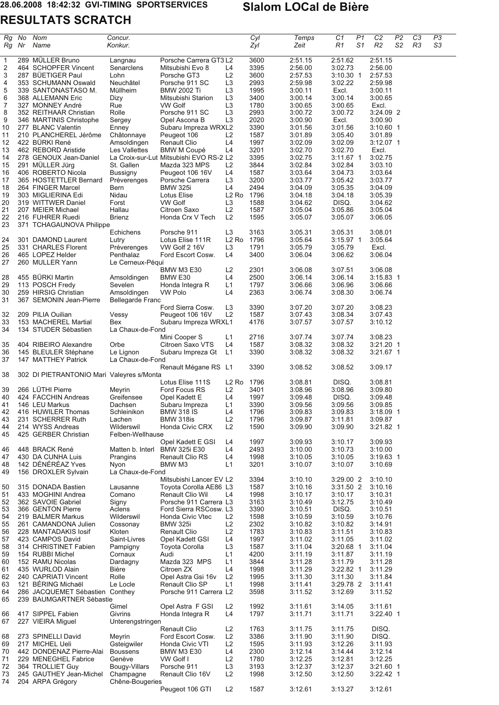**RESULTATS SCRATCH**

 $\overline{\phantom{a}}$ 

 *Rg No Nom Concur. Cyl Temps C1 P1 C2 P2 C3 P3*

| Rg             | Nr | Name                                          | Konkur.                     |                                                               |                               | Zyl          | Zeit               | R1                     | S1 | R2                 | S2 | R3 | SЗ |
|----------------|----|-----------------------------------------------|-----------------------------|---------------------------------------------------------------|-------------------------------|--------------|--------------------|------------------------|----|--------------------|----|----|----|
| $\overline{1}$ |    | 289 MÜLLER Bruno                              | Langnau                     | Porsche Carrera GT3 L2                                        |                               | 3600         | 2:51.15            | 2:51.62                |    | 2:51.15            |    |    |    |
| $\overline{2}$ |    | 464 SCHOPFER Vincent                          | Senarclens                  | Mitsubishi Evo 8                                              | L4                            | 3395         | 2:56.00            | 3:02.73                |    | 2:56.00            |    |    |    |
| 3<br>4         |    | 287 BÜETIGER Paul<br>353 SCHUMANN Oswald      | Lohn<br>Neuchâtel           | Porsche GT3<br>Porsche 911 SC                                 | L2<br>L <sub>3</sub>          | 3600<br>2993 | 2:57.53<br>2:59.98 | $3:10.30$ 1<br>3:02.22 |    | 2:57.53<br>2:59.98 |    |    |    |
| 5              |    | 339 SANTONASTASO M.                           | Müllheim                    | <b>BMW 2002 Ti</b>                                            | L <sub>3</sub>                | 1995         | 3:00.11            | Excl.                  |    | 3:00.11            |    |    |    |
| 6              |    | 368 ALLEMANN Eric                             | Dizy                        | Mitsubishi Starion                                            | L <sub>3</sub>                | 3400         | 3:00.14            | 3:00.14                |    | 3:00.65            |    |    |    |
| 7              |    | 327 MONNEY André                              | Rue                         | <b>VW Golf</b>                                                | L <sub>3</sub>                | 1780         | 3:00.65            | 3:00.65                |    | Excl.              |    |    |    |
| 8              |    | 352 REITHAAR Christian                        | Rolle                       | Porsche 911 SC                                                | L <sub>3</sub>                | 2993         | 3:00.72            | 3:00.72                |    | 3:24.09 2          |    |    |    |
| 9              |    | 346 MARTINIS Christophe                       | Sergey                      | Opel Ascona B                                                 | L <sub>3</sub>                | 2020         | 3:00.90            | Excl.                  |    | 3:00.90            |    |    |    |
| 10             |    | 277 BLANC Valentin                            | Enney                       | Subaru Impreza WRXL2                                          |                               | 3390         | 3:01.56            | 3:01.56                |    | $3:10.60$ 1        |    |    |    |
| 11             |    | 210 PLANCHEREL Jérôme                         | Châtonnaye                  | Peugeot 106                                                   | L <sub>2</sub>                | 1587         | 3:01.89            | 3:05.40                |    | 3:01.89            |    |    |    |
| 12             |    | 422 BÜRKI René                                | Amsoldingen                 | <b>Renault Clio</b>                                           | L4                            | 1997         | 3:02.09            | 3:02.09                |    | $3:12.07$ 1        |    |    |    |
| 13<br>14       |    | 462 REBORD Aristide<br>278 GENOUX Jean-Daniel | Les Vallettes               | <b>BMW M Coupé</b><br>La Croix-sur-Lut Mitsubishi EVO RS-2 L2 | L4                            | 3201<br>3395 | 3:02.70<br>3:02.75 | 3:02.70<br>$3:11.67$ 1 |    | Excl.<br>3:02.75   |    |    |    |
| 15             |    | 291 MÜLLER Jürg                               | St. Gallen                  | Mazda 323 MPS                                                 | L <sub>2</sub>                | 3844         | 3:02.84            | 3:02.84                |    | 3:03.10            |    |    |    |
| 16             |    | 406 ROBERTO Nicola                            | <b>Bussigny</b>             | Peugeot 106 16V                                               | L4                            | 1587         | 3:03.64            | 3:04.73                |    | 3:03.64            |    |    |    |
| 17             |    | 365 HOSTETTLER Bernard                        | Préverenges                 | Porsche Carrera                                               | L3                            | 3200         | 3:03.77            | 3:05.42                |    | 3:03.77            |    |    |    |
| 18             |    | 264 FINGER Marcel                             | Bern                        | <b>BMW 325i</b>                                               | L4                            | 2494         | 3:04.09            | 3:05.35                |    | 3:04.09            |    |    |    |
| 19             |    | 303 MIGLIERINA Edi                            | Nidau                       | Lotus Elise                                                   | L2 Ro 1796                    |              | 3:04.18            | 3:04.18                |    | 3:05.39            |    |    |    |
| 20             |    | 319 WITTWER Daniel                            | Forst                       | <b>VW Golf</b>                                                | L3                            | 1588         | 3:04.62            | DISQ.                  |    | 3:04.62            |    |    |    |
| 21             |    | 207 MEIER Michael                             | Hallau                      | Citroen Saxo                                                  | L2                            | 1587         | 3:05.04            | 3:05.86                |    | 3:05.04            |    |    |    |
| 22             |    | 216 FUHRER Ruedi                              | <b>Brienz</b>               | Honda Crx V Tech                                              | L <sub>2</sub>                | 1595         | 3:05.07            | 3:05.07                |    | 3:06.05            |    |    |    |
| 23             |    | 371 TCHAGAUNOVA Philippe                      |                             |                                                               | L <sub>3</sub>                | 3163         |                    |                        |    | 3:08.01            |    |    |    |
| 24             |    | 301 DAMOND Laurent                            | Echichens<br>Lutry          | Porsche 911<br>Lotus Elise 111R                               | L <sub>2</sub> R <sub>o</sub> | 1796         | 3:05.31<br>3:05.64 | 3:05.31<br>$3:15.97$ 1 |    | 3:05.64            |    |    |    |
| 25             |    | 331 CHARLES Florent                           | Préverenges                 | VW Golf 2 16V                                                 | L <sub>3</sub>                | 1791         | 3:05.79            | 3:05.79                |    | Excl.              |    |    |    |
| 26             |    | 465 LOPEZ Helder                              | Penthalaz                   | Ford Escort Cosw.                                             | L4                            | 3400         | 3:06.04            | 3:06.62                |    | 3:06.04            |    |    |    |
| 27             |    | 260 MULLER Yann                               | Le Cerneux-Péqui            |                                                               |                               |              |                    |                        |    |                    |    |    |    |
|                |    |                                               |                             | <b>BMW M3 E30</b>                                             | L2                            | 2301         | 3:06.08            | 3:07.51                |    | 3:06.08            |    |    |    |
| 28             |    | 455 BÜRKI Martin                              | Amsoldingen                 | BMW <sub>E30</sub>                                            | L4                            | 2500         | 3:06.14            | 3:06.14                |    | 3:15.83 1          |    |    |    |
| 29             |    | 113 POSCH Fredy                               | Sevelen                     | Honda Integra R                                               | L1                            | 1797         | 3:06.66            | 3:06.96                |    | 3:06.66            |    |    |    |
| 30             |    | 259 HIRSIG Christian                          | Amsoldingen                 | <b>VW Polo</b>                                                | L4                            | 2363         | 3:06.74            | 3:08.30                |    | 3:06.74            |    |    |    |
| 31             |    | 367 SEMONIN Jean-Pierre                       | <b>Bellegarde Franc</b>     |                                                               |                               |              |                    |                        |    |                    |    |    |    |
|                |    |                                               |                             | Ford Sierra Cosw.                                             | L <sub>3</sub>                | 3390         | 3:07.20            | 3:07.20                |    | 3:08.23            |    |    |    |
| 32<br>33       |    | 209 PILIA Ouilian<br>153 MACHEREL Martial     | Vessy<br>Bex                | Peugeot 106 16V<br>Subaru Impreza WRXL1                       | L2                            | 1587<br>4176 | 3:07.43<br>3:07.57 | 3:08.34<br>3:07.57     |    | 3:07.43<br>3:10.12 |    |    |    |
| 34             |    | 134 STUDER Sébastien                          | La Chaux-de-Fond            |                                                               |                               |              |                    |                        |    |                    |    |    |    |
|                |    |                                               |                             | Mini Cooper S                                                 | L1                            | 2716         | 3:07.74            | 3:07.74                |    | 3:08.23            |    |    |    |
| 35             |    | 404 RIBEIRO Alexandre                         | Orbe                        | Citroen Saxo VTS                                              | L4                            | 1587         | 3:08.32            | 3:08.32                |    | $3:21.20$ 1        |    |    |    |
| 36             |    | 145 BLEULER Stéphane                          | Le Lignon                   | Subaru Impreza Gt                                             | L1                            | 3390         | 3:08.32            | 3:08.32                |    | 3:21.67 1          |    |    |    |
| 37             |    | 147 MATTHEY Patrick                           | La Chaux-de-Fond            |                                                               |                               |              |                    |                        |    |                    |    |    |    |
| 38             |    | 302 DI PIETRANTONIO Mari Valeyres s/Monta     |                             | Renault Mégane RS L1                                          |                               | 3390         | 3:08.52            | 3:08.52                |    | 3:09.17            |    |    |    |
|                |    |                                               |                             | Lotus Elise 111S                                              | L2 Ro 1796                    |              | 3:08.81            | DISQ.                  |    | 3:08.81            |    |    |    |
| 39             |    | 266 LÜTHI Pierre                              | Meyrin                      | Ford Focus RS                                                 | L <sub>2</sub>                | 3401         | 3:08.96            | 3:08.96                |    | 3:09.80            |    |    |    |
| 40             |    | 424 FACCHIN Andreas                           | Greifensee                  | Opel Kadett E                                                 | L4                            | 1997         | 3:09.48            | DISQ.                  |    | 3:09.48            |    |    |    |
| 41             |    | 146 LEU Markus                                | Dachsen                     | Subaru Impreza                                                | L <sub>1</sub>                | 3390         | 3:09.56            | 3:09.56                |    | 3:09.85            |    |    |    |
| 42             |    | 416 HUWILER Thomas                            | Schleinikon                 | <b>BMW 318 IS</b>                                             | L4                            | 1796         | 3:09.83            | 3:09.83                |    | 3:18.09 1          |    |    |    |
| 43             |    | 231 SCHERRER Ruth                             | Lachen                      | <b>BMW 318is</b>                                              | L2                            | 1796         | 3:09.87            | 3:11.81                |    | 3:09.87            |    |    |    |
| 44             |    | 214 WYSS Andreas                              | Wilderswil                  | Honda Civic CRX                                               | L2                            | 1590         | 3:09.90            | 3:09.90                |    | 3:21.82 1          |    |    |    |
| 45             |    | 425 GERBER Christian                          | Felben-Wellhause            | Opel Kadett E GSI                                             | L4                            | 1997         | 3:09.93            | 3:10.17                |    | 3:09.93            |    |    |    |
| 46             |    | 448 BRACK René                                | Matten b. Interl            | <b>BMW 325i E30</b>                                           | L4                            | 2493         | 3:10.00            | 3:10.73                |    | 3:10.00            |    |    |    |
| 47             |    | 430 DA CUNHA Luis                             | Prangins                    | <b>Renault Clio RS</b>                                        | L4                            | 1998         | 3:10.05            | 3:10.05                |    | 3:19.63 1          |    |    |    |
| 48             |    | 142 DÉNÉRÉAZ Yves                             | Nyon                        | BMW M3                                                        | L1                            | 3201         | 3:10.07            | 3:10.07                |    | 3:10.69            |    |    |    |
| 49             |    | 156 DROXLER Sylvain                           | La Chaux-de-Fond            |                                                               |                               |              |                    |                        |    |                    |    |    |    |
|                |    |                                               |                             | Mitsubishi Lancer EV L2                                       |                               | 3394         | 3:10.10            | 3:29.00 2              |    | 3:10.10            |    |    |    |
| 50             |    | 315 DONADA Bastien                            | Lausanne                    | Toyota Corolla AE86 L3                                        |                               | 1587         | 3:10.16            | 3:31.50 2              |    | 3:10.16            |    |    |    |
| 51             |    | 433 MOGHINI Andrea                            | Comano                      | <b>Renault Clio Wil</b>                                       | L4                            | 1998         | 3:10.17            | 3:10.17                |    | 3:10.31            |    |    |    |
| 52             |    | 362 SAVOIE Gabriel                            | Signy                       | Porsche 911 Carrera L3                                        |                               | 3163         | 3:10.49            | 3:12.75                |    | 3:10.49            |    |    |    |
| 53             |    | 366 GENTON Pierre                             | Aclens                      | Ford Sierra RSCosw. L3                                        |                               | 3390         | 3:10.51            | DISQ.                  |    | 3:10.51            |    |    |    |
| 54             |    | 219 BALMER Markus                             | Wilderswil                  | Honda Civic Vtec                                              | L2                            | 1598         | 3:10.59            | 3:10.59                |    | 3:10.76            |    |    |    |
| 55             |    | 261 CAMANDONA Julien                          | Cossonay                    | <b>BMW 325i</b>                                               | L2                            | 2302         | 3:10.82            | 3:10.82                |    | 3:14.91            |    |    |    |
| 56<br>57       |    | 228 MANTADAKIS losif<br>423 CAMPOS David      | Kloten<br>Saint-Livres      | <b>Renault Clio</b>                                           | L2<br>L4                      | 1783<br>1997 | 3:10.83<br>3:11.02 | 3:11.51                |    | 3:10.83            |    |    |    |
| 58             |    | 314 CHRISTINET Fabien                         | Pampigny                    | Opel Kadett GSI<br>Toyota Corolla                             | L <sub>3</sub>                | 1587         | 3:11.04            | 3:11.05<br>$3:20.68$ 1 |    | 3:11.02<br>3:11.04 |    |    |    |
| 59             |    | 154 RUBBI Michel                              | Cornaux                     | Audi                                                          | L1                            | 4200         | 3:11.19            | 3:11.87                |    | 3:11.19            |    |    |    |
| 60             |    | 152 RAMU Nicolas                              | Dardagny                    | Mazda 323 MPS                                                 | L1                            | 3844         | 3:11.28            | 3:11.79                |    | 3:11.28            |    |    |    |
| 61             |    | 435 WURLOD Alain                              | Bière                       | Citroen ZX                                                    | L4                            | 1998         | 3:11.29            | $3:22.82$ 1            |    | 3:11.29            |    |    |    |
| 62             |    | 240 CAPRIATI Vincent                          | Rolle                       | Opel Astra Gsi 16v                                            | L <sub>2</sub>                | 1995         | 3:11.30            | 3:11.30                |    | 3:11.84            |    |    |    |
| 63             |    | 121 BERING Michaël                            | Le Locle                    | Renault Clio SP                                               | L1                            | 1998         | 3:11.41            | 3:29.78 2              |    | 3:11.41            |    |    |    |
| 64             |    | 286 JACQUEMET Sébastien Conthey               |                             | Porsche 911 Carrera L2                                        |                               | 3598         | 3:11.52            | 3:12.69                |    | 3:11.52            |    |    |    |
| 65             |    | 239 BAUMGARTNER Sébastie                      |                             |                                                               |                               |              |                    |                        |    |                    |    |    |    |
|                |    |                                               | Gimel                       | Opel Astra F GSI                                              | L <sub>2</sub>                | 1992         | 3:11.61            | 3:14.05                |    | 3:11.61            |    |    |    |
| 66<br>67       |    | 417 SIPPEL Fabien<br>227 VIEIRA Miguel        | Givrins<br>Unterengstringen | Honda Integra R                                               | L4                            | 1797         | 3:11.71            | 3:11.71                |    | 3:22.40 1          |    |    |    |
|                |    |                                               |                             | <b>Renault Clio</b>                                           | L2                            | 1763         | 3:11.75            | 3:11.75                |    | DISQ.              |    |    |    |
| 68             |    | 273 SPINELLI David                            | Meyrin                      | Ford Escort Cosw.                                             | L2                            | 3386         | 3:11.90            | 3:11.90                |    | DISQ.              |    |    |    |
| 69             |    | 217 MICHEL Ueli                               | Gsteigwiler                 | Honda Civic VTI                                               | L2                            | 1595         | 3:11.93            | 3:12.26                |    | 3:11.93            |    |    |    |
| 70             |    | 442 DONDENAZ Pierre-Alai                      | <b>Boussens</b>             | BMW M3 E30                                                    | L4                            | 2300         | 3:12.14            | 3:14.44                |    | 3:12.14            |    |    |    |
| 71             |    | 229 MENEGHEL Fabrice                          | Genève                      | VW Golf I                                                     | L <sub>2</sub>                | 1780         | 3:12.25            | 3:12.81                |    | 3:12.25            |    |    |    |
| 72             |    | 364 TROLLIET Guy                              | Bougy-Villars               | Porsche 911                                                   | L <sub>3</sub>                | 3193         | 3:12.37            | 3:12.37                |    | 3:21.60 1          |    |    |    |
| 73             |    | 245 GAUTHEY Jean-Michel                       | Champagne                   | Renault Clio 16V                                              | L <sub>2</sub>                | 1998         | 3:12.50            | 3:12.50                |    | 3:22.42 1          |    |    |    |
| 74             |    | 204 ARPA Grégory                              | Chêne-Bougeries             | Peugeot 106 GTI                                               | L2                            | 1587         | 3:12.61            | 3:13.27                |    | 3:12.61            |    |    |    |
|                |    |                                               |                             |                                                               |                               |              |                    |                        |    |                    |    |    |    |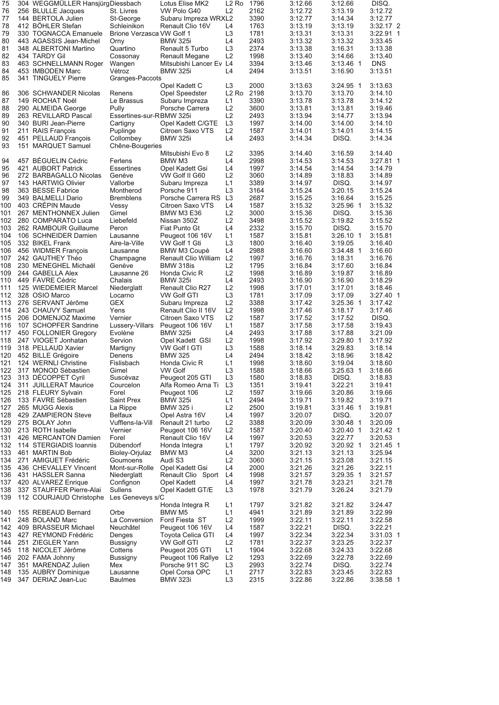| 75         | 304 WEGGMÜLLER HansjürgDiessbach          |                            | Lotus Elise MK2                          | L2 Ro                | 1796         | 3:12.66            | 3:12.66                | DISQ.                |
|------------|-------------------------------------------|----------------------------|------------------------------------------|----------------------|--------------|--------------------|------------------------|----------------------|
| 76         | 256 BLULLE Jacques                        | St. Livres                 | VW Polo G40                              | L <sub>2</sub>       | 2162         | 3:12.72            | 3:13.19                | 3:12.72              |
| 77         | 144 BERTOLA Julien                        | St-George                  | Subaru Impreza WRXL2                     |                      | 3390         | 3:12.77            | 3:14.34                | 3:12.77              |
| 78         | 412 BÖHLER Stefan                         | Schleinikon                | Renault Clio 16V                         | L4                   | 1763         | 3:13.19            | 3:13.19                | 3:32.17 2            |
| 79         | 330 TOGNACCA Emanuele                     | Brione Verzasca VW Golf 1  |                                          | L <sub>3</sub>       | 1781         | 3:13.31            | 3:13.31                | 3:22.91 1            |
| 80<br>81   | 443 AGASSIS Jean-Michel                   | Orny                       | <b>BMW 325i</b>                          | L4                   | 2493         | 3:13.32            | 3:13.32                | 3:33.45              |
| 82         | 348 ALBERTONI Martino<br>434 TARDY Gil    | Quartino                   | Renault 5 Turbo<br><b>Renault Megane</b> | L <sub>3</sub><br>L2 | 2374<br>1998 | 3:13.38<br>3:13.40 | 3:16.31                | 3:13.38<br>3:13.40   |
| 83         |                                           | Cossonay                   | Mitsubishi Lancer Ev L4                  |                      | 3394         | 3:13.46            | 3:14.66<br>$3:13.46$ 1 | <b>DNS</b>           |
| 84         | 463 SCHNELLMANN Roger<br>453 IMBODEN Marc | Wangen<br>Vétroz           | <b>BMW 325i</b>                          | L4                   | 2494         | 3:13.51            | 3:16.90                | 3:13.51              |
| 85         | 341 TINGUELY Pierre                       | Granges-Paccots            |                                          |                      |              |                    |                        |                      |
|            |                                           |                            | Opel Kadett C                            | L <sub>3</sub>       | 2000         | 3:13.63            | $3:24.95$ 1            | 3:13.63              |
| 86         | 306 SCHWANDER Nicolas                     | Renens                     | Opel Speedster                           | L2 Ro                | 2198         | 3:13.70            | 3:13.70                | 3:14.10              |
| 87         | 149 ROCHAT Noël                           | Le Brassus                 | Subaru Impreza                           | L1                   | 3390         | 3:13.78            | 3:13.78                | 3:14.12              |
| 88         | 290 ALMEIDA George                        | Pully                      | Porsche Carrera                          | L <sub>2</sub>       | 3600         | 3:13.81            | 3:13.81                | 3:19.46              |
| 89         | 263 REVILLARD Pascal                      | Essertines-sur-RBMW 325i   |                                          | L <sub>2</sub>       | 2493         | 3:13.94            | 3:14.77                | 3:13.94              |
| 90         | 340 BURI Jean-Pierre                      | Cartigny                   | Opel Kadett C/GTE                        | L <sub>3</sub>       | 1997         | 3:14.00            | 3:14.00                | 3:14.10              |
| 91         | 211 RAIS François                         | Puplinge                   | Citroen Saxo VTS                         | L <sub>2</sub>       | 1587         | 3:14.01            | 3:14.01                | 3:14.15              |
| 92         | 451 PELLAUD François                      | Collombey                  | <b>BMW 325i</b>                          | L4                   | 2493         | 3:14.34            | DISQ.                  | 3:14.34              |
| 93         | 151 MARQUET Samuel                        | Chêne-Bougeries            |                                          |                      |              |                    |                        |                      |
|            |                                           |                            | Mitsubishi Evo 8                         | L <sub>2</sub>       | 3395         | 3:14.40            | 3:16.59                | 3:14.40              |
| 94         | 457 BÉGUELIN Cédric                       | Ferlens                    | BMW M3                                   | L4                   | 2998         | 3:14.53            | 3:14.53                | 3:27.81 1            |
| 95         | 421 AUBORT Patrick                        | <b>Essertines</b>          | Opel Kadett Gsi                          | L4                   | 1997         | 3:14.54            | 3:14.54                | 3:14.79              |
| 96         | 272 BARBAGALLO Nicolas                    | Genève                     | VW Golf II G60                           | L <sub>2</sub>       | 3060         | 3:14.89            | 3:18.83                | 3:14.89              |
| 97         | 143 HARTWIG Olivier                       | Vallorbe                   | Subaru Impreza                           | L1                   | 3389         | 3:14.97            | DISQ.                  | 3:14.97              |
| 98         | 363 BESSE Fabrice                         | Montherod                  | Porsche 911                              | L <sub>3</sub>       | 3164         | 3:15.24            | 3:20.15                | 3:15.24              |
| 99         | 349 BALMELLI Dario                        | <b>Bremblens</b>           | Porsche Carrera RS                       | L3                   | 2687         | 3:15.25            | 3:16.64                | 3:15.25              |
| 100        | 403 CRÉPIN Maude                          | Vessy                      | Citroen Saxo VTS                         | L4                   | 1587         | 3:15.32            | 3:25.96 1              | 3:15.32              |
| 101        | 267 MENTHONNEX Julien                     | Gimel                      | <b>BMW M3 E36</b>                        | L2                   | 3000         | 3:15.36            | DISQ.                  | 3:15.36              |
| 102        | 280 COMPARATO Luca                        | Liebefeld                  | Nissan 350Z                              | L <sub>2</sub>       | 3498         | 3:15.52            | 3:19.82                | 3:15.52              |
| 103        | 262 RAMBOUR Guillaume                     | Peron                      | Fiat Punto Gt                            | L4                   | 2332         | 3:15.70            | DISQ.                  | 3:15.70              |
| 104        | 106 SCHNEIDER Damien                      | Lausanne                   | Peugeot 106 16V                          | L1                   | 1587         | 3:15.81            | $3:26.10$ 1            | 3:15.81              |
| 105        | 332 BIKEL Frank                           | Aire-la-Ville              | VW Golf 1 Gti                            | L3                   | 1800         | 3:16.40            | 3:19.05                | 3:16.40              |
| 106        | 456 WIDMER François                       | Lausanne                   | BMW M3 Coupé                             | L4                   | 2988         | 3:16.60            | $3:34.48$ 1            | 3:16.60              |
| 107        | 242 GAUTHEY Théo                          | Champagne                  | <b>Renault Clio William</b>              | L <sub>2</sub>       | 1997         | 3:16.76            | 3:18.31                | 3:16.76              |
| 108        | 230 MENEGHEL Michaël                      | Genève                     | BMW 318is                                | L2                   | 1795         | 3:16.84            | 3:17.60                | 3:16.84              |
| 109        | 244 GABELLA Alex                          | Lausanne 26                | Honda Civic R                            | L <sub>2</sub>       | 1998         | 3:16.89            | 3:19.87                | 3:16.89              |
| 110        | 449 FAVRE Cédric                          | Chalais                    | <b>BMW 325i</b>                          | L4                   | 2493         | 3:16.90            | 3:16.90                | 3:18.29              |
| 111        | 125 WIEDEMEIER Marcel                     | Niederglatt                | Renault Clio R27                         | L <sub>2</sub>       | 1998         | 3:17.01            | 3:17.01                | 3:18.46              |
| 112        | 328 OSIO Marco                            | Locarno                    | <b>VW Golf GTI</b>                       | L <sub>3</sub>       | 1781         | 3:17.09            | 3:17.09                | $3:27.40$ 1          |
| 113        | 276 SERVANT Jérôme                        | GEX                        | Subaru Impreza                           | L <sub>2</sub><br>L2 | 3388<br>1998 | 3:17.42            | $3:25.36$ 1            | 3:17.42              |
| 114<br>115 | 243 CHAUVY Samuel<br>206 DOMENJOZ Maxime  | Yens<br>Vernier            | Renault Clio II 16V<br>Citroen Saxo VTS  | L <sub>2</sub>       | 1587         | 3:17.46<br>3:17.52 | 3:18.17<br>3:17.52     | 3:17.46<br>DISQ.     |
| 116        | 107 SCHOPFER Sandrine                     | Lussery-Villars            | Peugeot 106 16V                          | L1                   | 1587         | 3:17.58            | 3:17.58                | 3:19.43              |
| 117        | 450 FOLLONIER Gregory                     | Evolène                    | <b>BMW 325i</b>                          | L4                   | 2493         | 3:17.88            | 3:17.88                | 3:21.09              |
| 118        | 247 VIOGET Jonhatan                       | Servion                    | Opel Kadett GSI                          | L2                   | 1998         | 3:17.92            | $3:29.80$ 1            | 3:17.92              |
| 119        | 318 PELLAUD Xavier                        | Martigny                   | VW Golf I GTI                            | L3                   | 1588         | 3:18.14            | 3:29.83                | 3:18.14              |
| 120        | 452 BILLE Grégoire                        | Denens                     | <b>BMW 325</b>                           | L4                   | 2494         | 3:18.42            | 3:18.96                | 3:18.42              |
| 121        | 124 WERNLI Christine                      | Fislisbach                 | Honda Civic R                            | L1                   | 1998         | 3:18.60            | 3:19.04                | 3:18.60              |
| 122        | 317 MONOD Sébastien                       | Gimel                      | VW Golf                                  | L3                   | 1588         | 3:18.66            | $3:25.63$ 1            | 3:18.66              |
| 123        | 313 DECOPPET Cyril                        | Suscévaz                   | Peugeot 205 GTI                          | L3                   | 1580         | 3:18.83            | DISQ.                  | 3:18.83              |
| 124        | 311 JUILLERAT Maurice                     | Courcelon                  | Alfa Romeo Arna Ti                       | L3                   | 1351         | 3:19.41            | 3:22.21                | 3:19.41              |
| 125        | 218 FLEURY Sylvain                        | Forel                      | Peugeot 106                              | L <sub>2</sub>       | 1597         | 3:19.66            | 3:20.86                | 3:19.66              |
| 126        | 133 FAVRE Sébastien                       | Saint Prex                 | <b>BMW 325i</b>                          | L1                   | 2494         | 3:19.71            | 3:19.82                | 3:19.71              |
| 127        | 265 MUGG Alexis                           | La Rippe                   | BMW 325 i                                | L2                   | 2500         | 3:19.81            | 3:31.46 1              | 3:19.81              |
| 128        | 429 ZAMPIERON Steve                       | <b>Belfaux</b>             | Opel Astra 16V                           | L4                   | 1997         | 3:20.07            | DISQ.                  | 3:20.07              |
| 129        | 275 BOLAY John                            | Vufflens-la-Vill           | Renault 21 turbo                         | L2                   | 3388         | 3:20.09            | 3:30.48 1              | 3:20.09              |
| 130        | 213 ROTH Isabelle                         | Vernier                    | Peugeot 106 16V                          | L <sub>2</sub>       | 1587         | 3:20.40            | 3:20.40 1              | $3:21.42$ 1          |
| 131        | 426 MERCANTON Damien                      | Forel                      | Renault Clio 16V                         | L4                   | 1997         | 3:20.53            | 3:22.77                | 3:20.53              |
| 132        | 114 STERGIADIS Ioannis                    | Dübendorf                  | Honda Integra                            | L1                   | 1797         | 3:20.92            | 3:20.92 1              | $3:21.45$ 1          |
| 133        | 461 MARTIN Bob                            | Bioley-Orjulaz             | BMW M3                                   | L4                   | 3200         | 3:21.13            | 3:21.13                | 3:25.94              |
| 134        | 271 AMIGUET Frédéric                      | Goumoens                   | Audi S3                                  | L2                   | 3060         | 3:21.15            | 3:23.08                | 3:21.15              |
| 135        | 436 CHEVALLEY Vincent                     | Mont-sur-Rolle             | Opel Kadett Gsi                          | L4                   | 2000         | 3:21.26            | 3:21.26                | 3:22.11              |
| 136        | 431 HASSLER Sanna                         | Niederglatt                | Renault Clio Sport                       | L4                   | 1998         | 3:21.57            | $3:29.35$ 1            | 3:21.57              |
| 137        | 420 ALVAREZ Enrique                       | Confignon                  | Opel Kadett                              | L4                   | 1997         | 3:21.78            | 3:23.21                | 3:21.78              |
| 138        | 337 STAUFFER Pierre-Alai                  | <b>Sullens</b>             | Opel Kadett GT/E                         | L3                   | 1978         | 3:21.79            | 3:26.24                | 3:21.79              |
| 139        | 112 COURJAUD Christophe                   | Les Geneveys s/C           |                                          |                      |              |                    |                        |                      |
|            |                                           |                            | Honda Integra R                          | L1                   | 1797         | 3:21.82            | 3:21.82                | 3:24.47              |
| 140        | 155 REBEAUD Bernard                       | Orbe                       | BMW M5                                   | L1                   | 4941         | 3:21.89            | 3:21.89                | 3:22.99              |
| 141<br>142 | 248 BOLAND Marc<br>409 BRASSEUR Michael   | La Conversion<br>Neuchâtel | Ford Fiesta ST                           | L2<br>L4             | 1999<br>1587 | 3:22.11<br>3:22.21 | 3:22.11<br>DISQ.       | 3:22.58              |
| 143        | 427 REYMOND Frédéric                      | Denges                     | Peugeot 106 16V<br>Toyota Celica GTI     | L4                   | 1997         | 3:22.34            | 3:22.34                | 3:22.21<br>3:31.03 1 |
| 144        | 251 ZIEGLER Yann                          | Bussigny                   | <b>VW Golf GTI</b>                       | L <sub>2</sub>       | 1781         | 3:22.37            | 3:23.25                | 3:22.37              |
| 145        | 118 NICOLET Jérôme                        | Cottens                    | Peugeot 205 GTI                          | L1                   | 1904         | 3:22.68            | 3:24.33                | 3:22.68              |
| 146        | 202 FAMA Johnny                           | Bussigny                   | Peugeot 106 Rallye                       | L <sub>2</sub>       | 1293         | 3:22.69            | 3:22.78                | 3:22.69              |
| 147        | 351 MARENDAZ Julien                       | Mex                        | Porsche 911 SC                           | L3                   | 2993         | 3:22.74            | DISQ.                  | 3:22.74              |
| 148        | 135 AUBRY Dominique                       | Lausanne                   | Opel Corsa OPC                           | L1                   | 2717         | 3:22.83            | 3:23.45                | 3:22.83              |
| 149        | 347 DERIAZ Jean-Luc                       | Baulmes                    | <b>BMW 323i</b>                          | L <sub>3</sub>       | 2315         | 3:22.86            | 3:22.86                | 3:38.58 1            |
|            |                                           |                            |                                          |                      |              |                    |                        |                      |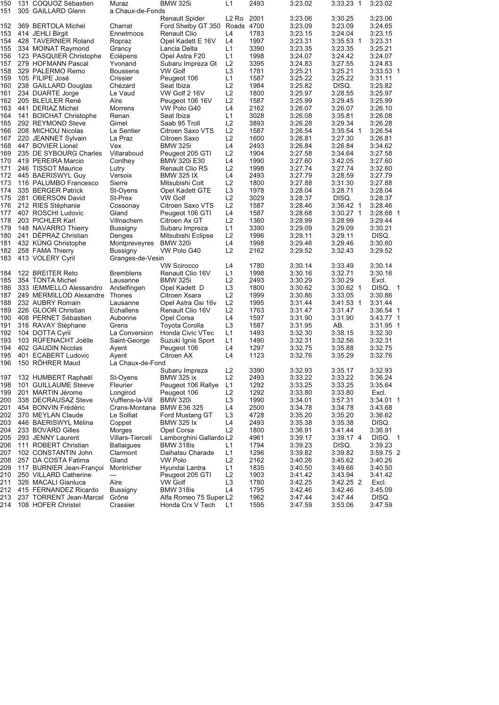| <b>Renault Spider</b><br>L <sub>2</sub> R <sub>o</sub><br>2001<br>3:23.06<br>3:23.06<br>3:30.25<br>4700<br>Ford Shelby GT 350 Roads<br>3:23.09<br>3:23.09<br>3:24.65<br>L4<br>1783<br>3:23.15<br>3:24.04<br>3:23.15<br>Renault Clio<br>L <sub>4</sub><br>1997<br>Opel Kadett E 16V<br>3:23.31<br>$3:35.53$ 1<br>3:23.31<br>L1<br>3390<br>3:23.35<br>3:23.35<br>3:25.21<br>Lancia Delta<br>L1<br>1998<br>3:24.07<br>3:24.42<br>3:24.07<br>Opel Astra F20<br>L <sub>2</sub><br>3395<br>3:24.83<br>3:27.55<br>3:24.83<br>Subaru Impreza Gt<br>L <sub>3</sub><br><b>VW Golf</b><br>1781<br>3:25.21<br>3:25.21<br>3:33.53 1<br>L1<br>3:25.22<br>1587<br>3:25.22<br>3:31.11<br>Peugeot 106<br>L2<br>1984<br>3:25.82<br>DISQ.<br>3:25.82<br>Seat Ibiza<br>L2<br>1800<br>3:25.97<br>VW Golf 2 16V<br>3:28.55<br>3:25.97<br>L2<br>1587<br>3:25.99<br>3:29.45<br>3:25.99<br>Peugeot 106 16V<br>L4<br>2162<br>3:26.07<br>VW Polo G40<br>3:26.07<br>3:26.10<br>L1<br>3028<br>3:26.08<br>3:35.81<br>3:26.08<br>Seat Ibiza<br>L2<br>3893<br>3:26.28<br>3:29.34<br>Saab 95 Troll<br>3:26.28<br>L2<br>1587<br>3:26.54<br>$3:35.54$ 1<br>Citroen Saxo VTS<br>3:26.54<br>L2<br>1600<br>3:26.81<br>3:27.30<br>Citroen Saxo<br>3:26.81<br>L4<br>2493<br>3:26.84<br>3:26.84<br><b>BMW 325i</b><br>3:34.62<br>L2<br>1904<br>3:34.64<br>Peugeot 205 GTI<br>3:27.58<br>3:27.58<br>L4<br>1990<br>3:27.60<br>3:42.05<br>3:27.60<br><b>BMW 320i E30</b><br>L2<br>1998<br>3:27.74<br>3:27.74<br>3:32.60<br>Renault Clio RS<br>L4<br>2493<br>3:28.59<br><b>BMW 325 IX</b><br>3:27.79<br>3:27.79<br>L <sub>2</sub><br>1800<br>3:27.88<br>3:27.88<br>Mitsubishi Colt<br>3:31.30<br>L <sub>3</sub><br>1978<br>3:28.04<br>3:28.71<br>Opel Kadett GTE<br>3:28.04<br>L <sub>2</sub><br>3029<br>3:28.37<br><b>VW Golf</b><br>DISQ.<br>3:28.37<br>L2<br>1587<br>3:28.46<br>Citroen Saxo VTS<br>$3:36.42$ 1<br>3:28.46<br>L4<br>1587<br>3:28.68<br>Peugeot 106 GTI<br>$3:30.27$ 1<br>3:28.68 1<br>L2<br>1360<br>3:28.99<br>3:28.99<br>3:29.44<br>Citroen Ax GT<br>L1<br>3390<br>3:29.09<br>3:29.09<br>3:30.21<br>Subaru Impreza<br>L <sub>2</sub><br>3:29.11<br>1996<br>3:29.11<br>DISQ.<br>Mitsubishi Eclipse<br>L4<br>1998<br>3:29.46<br><b>BMW 320i</b><br>3:29.46<br>3:30.60<br>L <sub>2</sub><br>2162<br>3:32.43<br>VW Polo G40<br>3:29.52<br>3:29.52<br><b>VW Scirocco</b><br>L4<br>1780<br>3:30.14<br>3:33.49<br>3:30.14<br>L1<br>1998<br>3:32.71<br>Renault Clio 16V<br>3:30.16<br>3:30.16<br>L <sub>2</sub><br>2493<br>3:30.29<br><b>BMW 325i</b><br>3:30.29<br>Excl.<br>L <sub>3</sub><br>DISQ. 1<br>1800<br>3:30.62<br>3:30.62 1<br>Opel Kadett D<br>L <sub>2</sub><br>1999<br>3:33.05<br>Citroen Xsara<br>3:30.86<br>3:30.86<br>L2<br>1995<br>3:31.44<br>Opel Astra Gsi 16v<br>3:31.44<br>$3:41.53$ 1<br>L2<br>1763<br>3:31.47<br>3:31.47<br>3:36.54 1<br>Renault Clio 16V<br>L4<br>1597<br>3:31.90<br>3:43.77 1<br>Opel Corsa<br>3:31.90<br>L <sub>3</sub><br>1587<br>3:31.95<br>AB.<br>3:31.95 1<br>Toyota Corolla<br>L1<br>1493<br>3:32.30<br>3:38.15<br>3:32.30<br>Honda Civic VTec<br>L1<br>1490<br>3:32.31<br>3:32.56<br>3:32.31<br>Suzuki Ignis Sport | <b>BMW 325i</b><br>3:23.02<br>Muraz<br>L1<br>a Chaux-de-Fonds<br>Charrat<br>Ennetmoos<br>Ropraz<br>Grancy<br>Eclépens<br>Yvonand<br><b>Boussens</b><br>Crissier<br>Chézard<br>Le Vaud<br>Aïre<br>Morrens<br>Renan<br>Gimel<br>Le Sentier<br>La Praz<br>Vex<br>Villaraboud<br>Conthey<br>Lutry<br>Versoix<br>Sierre<br>St-Oyens<br>St-Prex<br>Cossonay<br>Gland<br>Villnachern<br>Bussigny<br>Denges<br>Montpreveyres<br>Bussigny<br>Granges-de-Vesin<br><b>Bremblens</b><br>Lausanne<br>Andelfingen<br>Thones<br>Lausanne<br>Echallens<br>Aubonne<br>Grens<br>La Conversion<br>Saint-George |            |                          |                                                                                                       |                                                                                         |                                                             | 3:36.24<br>3:35.64<br>Excl.<br>3:34.01 1<br>3:43.68<br>3:36.62<br>DISQ.<br>3:36.91 |
|------------------------------------------------------------------------------------------------------------------------------------------------------------------------------------------------------------------------------------------------------------------------------------------------------------------------------------------------------------------------------------------------------------------------------------------------------------------------------------------------------------------------------------------------------------------------------------------------------------------------------------------------------------------------------------------------------------------------------------------------------------------------------------------------------------------------------------------------------------------------------------------------------------------------------------------------------------------------------------------------------------------------------------------------------------------------------------------------------------------------------------------------------------------------------------------------------------------------------------------------------------------------------------------------------------------------------------------------------------------------------------------------------------------------------------------------------------------------------------------------------------------------------------------------------------------------------------------------------------------------------------------------------------------------------------------------------------------------------------------------------------------------------------------------------------------------------------------------------------------------------------------------------------------------------------------------------------------------------------------------------------------------------------------------------------------------------------------------------------------------------------------------------------------------------------------------------------------------------------------------------------------------------------------------------------------------------------------------------------------------------------------------------------------------------------------------------------------------------------------------------------------------------------------------------------------------------------------------------------------------------------------------------------------------------------------------------------------------------------------------------------------------------------------------------------------------------------------------------------------------------------------------------------------------------------------------------------------------------------------------------------------------------------------------------------------------------------------------------------------------------------|---------------------------------------------------------------------------------------------------------------------------------------------------------------------------------------------------------------------------------------------------------------------------------------------------------------------------------------------------------------------------------------------------------------------------------------------------------------------------------------------------------------------------------------------------------------------------------------------|------------|--------------------------|-------------------------------------------------------------------------------------------------------|-----------------------------------------------------------------------------------------|-------------------------------------------------------------|------------------------------------------------------------------------------------|
|                                                                                                                                                                                                                                                                                                                                                                                                                                                                                                                                                                                                                                                                                                                                                                                                                                                                                                                                                                                                                                                                                                                                                                                                                                                                                                                                                                                                                                                                                                                                                                                                                                                                                                                                                                                                                                                                                                                                                                                                                                                                                                                                                                                                                                                                                                                                                                                                                                                                                                                                                                                                                                                                                                                                                                                                                                                                                                                                                                                                                                                                                                                                    |                                                                                                                                                                                                                                                                                                                                                                                                                                                                                                                                                                                             | 3:23.02    |                          |                                                                                                       |                                                                                         | 3:32.75<br>3:32.76                                          | 3:32.93                                                                            |
|                                                                                                                                                                                                                                                                                                                                                                                                                                                                                                                                                                                                                                                                                                                                                                                                                                                                                                                                                                                                                                                                                                                                                                                                                                                                                                                                                                                                                                                                                                                                                                                                                                                                                                                                                                                                                                                                                                                                                                                                                                                                                                                                                                                                                                                                                                                                                                                                                                                                                                                                                                                                                                                                                                                                                                                                                                                                                                                                                                                                                                                                                                                                    |                                                                                                                                                                                                                                                                                                                                                                                                                                                                                                                                                                                             |            |                          |                                                                                                       |                                                                                         |                                                             |                                                                                    |
|                                                                                                                                                                                                                                                                                                                                                                                                                                                                                                                                                                                                                                                                                                                                                                                                                                                                                                                                                                                                                                                                                                                                                                                                                                                                                                                                                                                                                                                                                                                                                                                                                                                                                                                                                                                                                                                                                                                                                                                                                                                                                                                                                                                                                                                                                                                                                                                                                                                                                                                                                                                                                                                                                                                                                                                                                                                                                                                                                                                                                                                                                                                                    |                                                                                                                                                                                                                                                                                                                                                                                                                                                                                                                                                                                             | 3:33.23 1  |                          |                                                                                                       |                                                                                         | 3:35.88<br>3:35.29                                          | 3:35.17                                                                            |
|                                                                                                                                                                                                                                                                                                                                                                                                                                                                                                                                                                                                                                                                                                                                                                                                                                                                                                                                                                                                                                                                                                                                                                                                                                                                                                                                                                                                                                                                                                                                                                                                                                                                                                                                                                                                                                                                                                                                                                                                                                                                                                                                                                                                                                                                                                                                                                                                                                                                                                                                                                                                                                                                                                                                                                                                                                                                                                                                                                                                                                                                                                                                    |                                                                                                                                                                                                                                                                                                                                                                                                                                                                                                                                                                                             |            |                          |                                                                                                       |                                                                                         |                                                             |                                                                                    |
|                                                                                                                                                                                                                                                                                                                                                                                                                                                                                                                                                                                                                                                                                                                                                                                                                                                                                                                                                                                                                                                                                                                                                                                                                                                                                                                                                                                                                                                                                                                                                                                                                                                                                                                                                                                                                                                                                                                                                                                                                                                                                                                                                                                                                                                                                                                                                                                                                                                                                                                                                                                                                                                                                                                                                                                                                                                                                                                                                                                                                                                                                                                                    |                                                                                                                                                                                                                                                                                                                                                                                                                                                                                                                                                                                             |            |                          |                                                                                                       |                                                                                         | 3:32.75                                                     | 3:32.76<br>3:32.93                                                                 |
|                                                                                                                                                                                                                                                                                                                                                                                                                                                                                                                                                                                                                                                                                                                                                                                                                                                                                                                                                                                                                                                                                                                                                                                                                                                                                                                                                                                                                                                                                                                                                                                                                                                                                                                                                                                                                                                                                                                                                                                                                                                                                                                                                                                                                                                                                                                                                                                                                                                                                                                                                                                                                                                                                                                                                                                                                                                                                                                                                                                                                                                                                                                                    |                                                                                                                                                                                                                                                                                                                                                                                                                                                                                                                                                                                             | 2493       |                          |                                                                                                       |                                                                                         | 1297                                                        | 1123<br>3390                                                                       |
|                                                                                                                                                                                                                                                                                                                                                                                                                                                                                                                                                                                                                                                                                                                                                                                                                                                                                                                                                                                                                                                                                                                                                                                                                                                                                                                                                                                                                                                                                                                                                                                                                                                                                                                                                                                                                                                                                                                                                                                                                                                                                                                                                                                                                                                                                                                                                                                                                                                                                                                                                                                                                                                                                                                                                                                                                                                                                                                                                                                                                                                                                                                                    |                                                                                                                                                                                                                                                                                                                                                                                                                                                                                                                                                                                             |            |                          |                                                                                                       |                                                                                         |                                                             | L4<br>L4<br>L2                                                                     |
|                                                                                                                                                                                                                                                                                                                                                                                                                                                                                                                                                                                                                                                                                                                                                                                                                                                                                                                                                                                                                                                                                                                                                                                                                                                                                                                                                                                                                                                                                                                                                                                                                                                                                                                                                                                                                                                                                                                                                                                                                                                                                                                                                                                                                                                                                                                                                                                                                                                                                                                                                                                                                                                                                                                                                                                                                                                                                                                                                                                                                                                                                                                                    |                                                                                                                                                                                                                                                                                                                                                                                                                                                                                                                                                                                             |            |                          |                                                                                                       |                                                                                         |                                                             | Peugeot 106<br>Citroen AX<br>La Chaux-de-Fond<br>Subaru Impreza                    |
| 131 COQUOZ Sébastien<br>103 RÜFENACHT Joëlle                                                                                                                                                                                                                                                                                                                                                                                                                                                                                                                                                                                                                                                                                                                                                                                                                                                                                                                                                                                                                                                                                                                                                                                                                                                                                                                                                                                                                                                                                                                                                                                                                                                                                                                                                                                                                                                                                                                                                                                                                                                                                                                                                                                                                                                                                                                                                                                                                                                                                                                                                                                                                                                                                                                                                                                                                                                                                                                                                                                                                                                                                       |                                                                                                                                                                                                                                                                                                                                                                                                                                                                                                                                                                                             |            |                          |                                                                                                       |                                                                                         |                                                             | 402 GAUDIN Nicolas<br>401 ECABERT Ludovic<br>150 RÖHRER Maud                       |
| 305 GAILLARD Glenn<br>369 BERTOLA Michel<br>414 JEHLI Birgit<br>428 TAVERNIER Roland<br>334 MOINAT Raymond<br>123 PASQUIER Christophe<br>279 HOFMANN Pascal<br>329 PALERMO Remo<br>105 FILIPE José<br>238 GAILLARD Douglas<br>234 DUARTE Jorge<br>205 BLEULER René<br>441 DERIAZ Michel<br>141 BOICHAT Christophe<br>292 REYMOND Steve<br>208 MICHOU Nicolas<br>220 JEANNET Sylvain<br>447 BOVIER Lionel<br>235 DE SYBOURG Charles<br>419 PEREIRA Marcio<br>246 TISSOT Maurice<br>445 BAERISWYL Guy<br>116 PALUMBO Francesco<br>335 BERGER Patrick<br>281 OBERSON David<br>212 RIES Stéphanie<br>407 ROSCHI Ludovic<br>203 PICHLER Karl<br>148 NAVARRO Thierry<br>241 DEPRAZ Christian<br>432 KUNG Christophe<br>258 FAMA Thierry<br>413 VOLERY Cyril<br>122 BREITER Reto<br>354 TONTA Michel<br>333 IEMMELLO Alessandro<br>249 MERMILLOD Alexandre<br>232 AUBRY Romain<br>226 GLOOR Christian<br>408 PERNET Sébastien<br>316 RAVAY Stéphane<br>104 DOTTA Cyril                                                                                                                                                                                                                                                                                                                                                                                                                                                                                                                                                                                                                                                                                                                                                                                                                                                                                                                                                                                                                                                                                                                                                                                                                                                                                                                                                                                                                                                                                                                                                                                                                                                                                                                                                                                                                                                                                                                                                                                                                                                                                                                                                                    |                                                                                                                                                                                                                                                                                                                                                                                                                                                                                                                                                                                             | 150<br>151 | 152<br>153<br>154<br>155 | 156<br>157<br>158<br>159<br>160<br>161<br>162<br>163<br>164<br>165<br>166<br>167<br>168<br>169<br>170 | 171<br>172<br>173<br>174<br>175<br>176<br>177<br>178<br>179<br>180<br>181<br>182<br>183 | 184<br>185<br>186<br>187<br>188<br>189<br>190<br>191<br>192 | 193<br>194<br>195<br>196                                                           |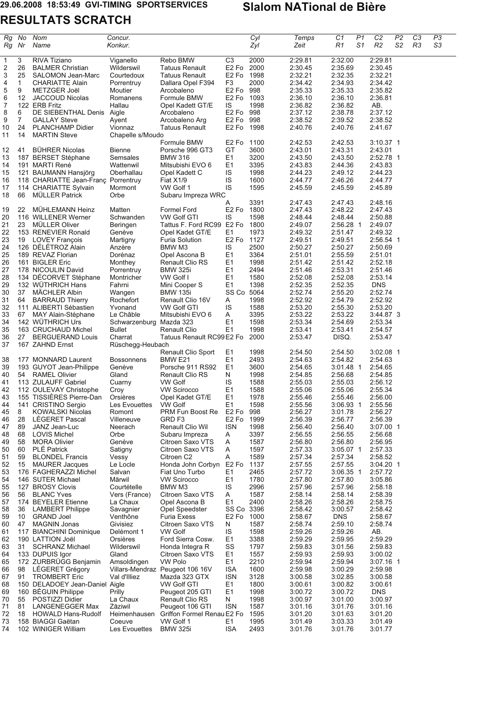### **RESULTATS SCRATCH**  $\overline{\phantom{a}}$

| Rg<br>Rg                | No<br>Nr | Nom<br>Name                                            | Concur.<br>Konkur.          |                                            |                                             | Cyl<br>Zyl   | Temps<br>Zeit      | P <sub>1</sub><br>C1<br>S1<br>R1 | C <sub>2</sub><br>R <sub>2</sub> | P <sub>2</sub><br>S2 | C <sub>3</sub><br>R3 | P3<br>S3 |
|-------------------------|----------|--------------------------------------------------------|-----------------------------|--------------------------------------------|---------------------------------------------|--------------|--------------------|----------------------------------|----------------------------------|----------------------|----------------------|----------|
| $\mathbf{1}$            | 3        | RIVA Tiziano                                           | Viganello                   | Rebo BMW                                   | C <sub>3</sub>                              | 2000         | 2:29.81            | 2:32.00                          | 2:29.81                          |                      |                      |          |
| $\overline{\mathbf{c}}$ | 26       | <b>BALMER Christian</b>                                | Wilderswil                  | <b>Tatuus Renault</b>                      | E <sub>2</sub> F <sub>o</sub>               | 2000         | 2:30.45            | 2:35.69                          | 2:30.45                          |                      |                      |          |
| 3<br>4                  | 25<br>1  | SALOMON Jean-Marc<br><b>CHARIATTE Alain</b>            | Courtedoux<br>Porrentruy    | <b>Tatuus Renault</b><br>Dallara Opel F394 | E <sub>2</sub> F <sub>o</sub><br>F3         | 1998<br>2000 | 2:32.21<br>2:34.42 | 2:32.35<br>2:34.93               | 2:32.21<br>2:34.42               |                      |                      |          |
| 5                       | 9        | METZGER Joël                                           | Moutier                     | Arcobaleno                                 | E <sub>2</sub> F <sub>o</sub>               | 998          | 2:35.33            | 2:35.33                          | 2:35.82                          |                      |                      |          |
| 6                       | 12       | <b>JACCOUD Nicolas</b>                                 | Romanens                    | Formule BMW                                | E2 Fo 1093                                  |              | 2:36.10            | 2:36.10                          | 2:36.81                          |                      |                      |          |
| 7                       |          | 122 ERB Fritz                                          | Hallau                      | Opel Kadett GT/E                           | IS                                          | 1998         | 2:36.82            | 2:36.82                          | AB.                              |                      |                      |          |
| 8                       | 6        | DE SIEBENTHAL Denis                                    | Aigle                       | Arcobaleno                                 | E2 Fo 998                                   |              | 2:37.12            | 2:38.78                          | 2:37.12                          |                      |                      |          |
| 9                       | 7<br>24  | <b>GALLAY Steve</b>                                    | Ayent                       | Arcobaleno Arg                             | E <sub>2</sub> F <sub>o</sub><br>E2 Fo 1998 | 998          | 2:38.52<br>2:40.76 | 2:39.52<br>2:40.76               | 2:38.52<br>2:41.67               |                      |                      |          |
| 10<br>11                | 14       | <b>PLANCHAMP Didier</b><br><b>MARTIN Steve</b>         | Vionnaz<br>Chapelle s/Moudo | <b>Tatuus Renault</b>                      |                                             |              |                    |                                  |                                  |                      |                      |          |
|                         |          |                                                        |                             | Formule BMW                                | E2 Fo                                       | 1100         | 2:42.53            | 2:42.53                          | $3:10.37$ 1                      |                      |                      |          |
| 12                      | 41       | <b>BÜHRER Nicolas</b>                                  | <b>Bienne</b>               | Porsche 996 GT3                            | GT                                          | 3600         | 2:43.01            | 2:43.31                          | 2:43.01                          |                      |                      |          |
| 13                      |          | 187 BERSET Stéphane                                    | Semsales                    | <b>BMW 316</b>                             | E1                                          | 3200         | 2:43.50            | 2:43.50                          | 2:52.78 1                        |                      |                      |          |
| 14<br>15                |          | 191 MARTI René<br>121 BAUMANN Hansjörg                 | Wattenwil<br>Oberhallau     | Mitsubishi EVO 6<br>Opel Kadett C          | E <sub>1</sub><br>IS                        | 3395<br>1998 | 2:43.83<br>2:44.23 | 2:44.36<br>2:49.12               | 2:43.83<br>2:44.23               |                      |                      |          |
| 16                      |          | 118 CHARIATTE Jean-Franç Porrentruy                    |                             | Fiat X1/9                                  | IS                                          | 1600         | 2:44.77            | 2:46.26                          | 2:44.77                          |                      |                      |          |
| 17                      |          | 114 CHARIATTE Sylvain                                  | Mormont                     | VW Golf 1                                  | IS                                          | 1595         | 2:45.59            | 2:45.59                          | 2:45.89                          |                      |                      |          |
| 18                      | 66       | <b>MULLER Patrick</b>                                  | Orbe                        | Subaru Impreza WRC                         |                                             |              |                    |                                  |                                  |                      |                      |          |
|                         |          |                                                        |                             |                                            | A                                           | 3391         | 2:47.43            | 2:47.43                          | 2:48.16                          |                      |                      |          |
| 19<br>20                | 22       | MÜHLEMANN Heinz<br>116 WILLENER Werner                 | Matten<br>Schwanden         | <b>Formel Ford</b><br><b>VW Golf GTI</b>   | E <sub>2</sub> F <sub>o</sub><br>IS         | 1800<br>1598 | 2:47.43<br>2:48.44 | 2:48.22<br>2:48.44               | 2:47.43<br>2:50.88               |                      |                      |          |
| 21                      | 23       | <b>MÜLLER Oliver</b>                                   | Beringen                    | Tattus F. Ford RC99                        | E <sub>2</sub> Fo                           | 1800         | 2:49.07            | 2:56.28 1                        | 2:49.07                          |                      |                      |          |
| 22                      |          | 153 RENEVIER Ronald                                    | Genève                      | Opel Kadet GT/E                            | E1                                          | 1973         | 2:49.32            | 2:51.47                          | 2:49.32                          |                      |                      |          |
| 23                      | 19       | <b>LOVEY François</b>                                  | Martigny                    | <b>Furia Solution</b>                      | E <sub>2</sub> F <sub>o</sub>               | 1127         | 2:49.51            | 2:49.51                          | 2:56.54 1                        |                      |                      |          |
| 24                      |          | 126 DELETROZ Alain                                     | Anzère                      | BMW M3                                     | IS                                          | 2500         | 2:50.27            | 2:50.27                          | 2:50.69                          |                      |                      |          |
| 25<br>26                |          | 189 REVAZ Florian<br>161 BIGLER Eric                   | Dorénaz<br>Monthey          | Opel Ascona B<br><b>Renault Clio RS</b>    | E1<br>E1                                    | 3364<br>1998 | 2:51.01<br>2:51.42 | 2:55.59<br>2:51.42               | 2:51.01<br>2:52.18               |                      |                      |          |
| 27                      |          | 178 NICOULIN David                                     | Porrentruy                  | <b>BMW 325i</b>                            | E <sub>1</sub>                              | 2494         | 2:51.46            | 2:53.31                          | 2:51.46                          |                      |                      |          |
| 28                      |          | 134 DECORVET Stéphane                                  | Montricher                  | VW Golf I                                  | E1                                          | 1580         | 2:52.08            | 2:52.08                          | 2:53.14                          |                      |                      |          |
| 29                      |          | 132 WUTHRICH Hans                                      | Fahrni                      | Mini Cooper S                              | E <sub>1</sub>                              | 1398         | 2:52.35            | 2:52.35                          | <b>DNS</b>                       |                      |                      |          |
| 30                      | 37       | MÄCHLER Albin                                          | Wangen                      | <b>BMW 135i</b>                            | SS Co                                       | 5064         | 2:52.74            | 2:55.20                          | 2:52.74                          |                      |                      |          |
| 31                      | 64       | <b>BARRAUD Thierry</b>                                 | Rochefort                   | Renault Clio 16V                           | A                                           | 1998         | 2:52.92            | 2:54.79                          | 2:52.92                          |                      |                      |          |
| 32<br>33                | 67       | 111 ALIBERTI Sébastien<br>MAY Alain-Stéphane           | Yvonand<br>Le Châble        | VW Golf GTI<br>Mitsubishi EVO 6            | IS<br>Α                                     | 1588<br>3395 | 2:53.20<br>2:53.22 | 2:55.30<br>2:53.22               | 2:53.20<br>3:44.87 3             |                      |                      |          |
| 34                      |          | 142 WUTHRICH Urs                                       | Schwarzenburg Mazda 323     |                                            | E <sub>1</sub>                              | 1598         | 2:53.34            | 2:54.69                          | 2:53.34                          |                      |                      |          |
| 35                      |          | 163 CRUCHAUD Michel                                    | <b>Bullet</b>               | <b>Renault Clio</b>                        | E <sub>1</sub>                              | 1998         | 2:53.41            | 2:53.41                          | 2:54.57                          |                      |                      |          |
| 36                      | 27       | <b>BERGUERAND Louis</b>                                | Charrat                     | Tatuus Renault RC99 E2 Fo                  |                                             | 2000         | 2:53.47            | DISQ.                            | 2:53.47                          |                      |                      |          |
| 37                      |          | 167 ZAHND Ernst                                        | Rüschegg-Heubach            | Renault Clio Sport                         | E1                                          | 1998         | 2:54.50            | 2:54.50                          | 3:02.08 1                        |                      |                      |          |
| 38                      |          | 177 MONNARD Laurent                                    | <b>Bossonnens</b>           | BMW E21                                    | E1                                          | 2493         | 2:54.63            | 2:54.82                          | 2:54.63                          |                      |                      |          |
| 39                      |          | 193 GUYOT Jean-Philippe                                | Genève                      | Porsche 911 RS92                           | E <sub>1</sub>                              | 3600         | 2:54.65            | $3:01.48$ 1                      | 2:54.65                          |                      |                      |          |
| 40                      |          | 54 RAMEL Olivier                                       | Gland                       | <b>Renault Clio RS</b>                     | N                                           | 1998         | 2:54.85            | 2:56.68                          | 2:54.85                          |                      |                      |          |
| 41                      |          | 113 ZULAUFF Gabriel                                    | Cuarny                      | <b>VW Golf</b>                             | IS                                          | 1588         | 2:55.03            | 2:55.03                          | 2:56.12                          |                      |                      |          |
| 42<br>43                |          | 112 OULEVAY Christophe<br>155 TISSIERES Pierre-Dan     | Croy<br>Orsières            | <b>VW Scirocco</b><br>Opel Kadet GT/E      | E <sub>1</sub><br>E1                        | 1588<br>1978 | 2:55.06<br>2:55.46 | 2:55.06<br>2:55.46               | 2:55.34<br>2:56.00               |                      |                      |          |
| 44                      |          | 141 CRISTINO Sergio                                    | Les Evouettes               | <b>VW Golf</b>                             | E <sub>1</sub>                              | 1598         | 2:55.56            | $3:06.93$ 1                      | 2:55.56                          |                      |                      |          |
| 45                      | 8        | KOWALSKI Nicolas                                       | Romont                      | PRM Fun Boost Re                           | E <sub>2</sub> F <sub>o</sub>               | 998          | 2:56.27            | 3:01.78                          | 2:56.27                          |                      |                      |          |
| 46                      | 28       | <b>LEGERET Pascal</b>                                  | Villeneuve                  | GRD F3                                     | E2 Fo                                       | 1999         | 2:56.39            | 2:56.77                          | 2:56.39                          |                      |                      |          |
| 47                      | 89       | JANZ Jean-Luc                                          | Neerach                     | Renault Clio Wil                           | <b>ISN</b>                                  | 1998         | 2:56.40            | 2:56.40                          | 3:07.00 1                        |                      |                      |          |
| 48<br>49                | 68<br>58 | <b>LOVIS Michel</b><br><b>MORA Olivier</b>             | Orbe<br>Genève              | Subaru Impreza<br>Citroen Saxo VTS         | A<br>A                                      | 3397<br>1587 | 2:56.55<br>2:56.80 | 2:56.55<br>2:56.80               | 2:56.68<br>2:56.95               |                      |                      |          |
| 50                      | 60       | <b>PLE</b> Patrick                                     | Satigny                     | Citroen Saxo VTS                           | A                                           | 1597         | 2:57.33            | $3:05.07$ 1                      | 2:57.33                          |                      |                      |          |
| 51                      | 59       | <b>BLONDEL Francis</b>                                 | Vessy                       | Citroen C <sub>2</sub>                     | Α                                           | 1589         | 2:57.34            | 2:57.34                          | 2:58.52                          |                      |                      |          |
| 52                      | 15       | <b>MAURER Jacques</b>                                  | Le Locle                    | Honda John Corbyn                          | E <sub>2</sub> F <sub>o</sub>               | 1137         | 2:57.55            | 2:57.55                          | 3:04.20 1                        |                      |                      |          |
| 53                      |          | 176 FAGHERAZZI Michel                                  | Salvan                      | Fiat Uno Turbo                             | E1                                          | 2465         | 2:57.72            | 3:06.35 1                        | 2:57.72                          |                      |                      |          |
| 54<br>55                |          | 146 SUTER Michael<br>127 BROSY Clovis                  | Märwil<br>Courtételle       | <b>VW Scirocco</b><br>BMW M3               | E1<br>IS                                    | 1780<br>2996 | 2:57.80<br>2:57.96 | 2:57.80<br>2:57.96               | 3:05.86<br>2:58.18               |                      |                      |          |
| 56                      | 56       | <b>BLANC Yves</b>                                      | Vers (France)               | Citroen Saxo VTS                           | A                                           | 1587         | 2:58.14            | 2:58.14                          | 2:58.39                          |                      |                      |          |
| 57                      |          | 174 BEYELER Etienne                                    | La Chaux                    | Opel Ascona B                              | E <sub>1</sub>                              | 2400         | 2:58.26            | 2:58.26                          | 2:58.75                          |                      |                      |          |
| 58                      | 36       | <b>LAMBERT Philippe</b>                                | Savagnier                   | Opel Speedster                             | SS Co                                       | 3396         | 2:58.42            | 3:00.57                          | 2:58.42                          |                      |                      |          |
| 59                      | 10       | <b>GRAND Joel</b>                                      | Venthône                    | <b>Furia Exess</b>                         | E <sub>2</sub> F <sub>o</sub>               | 1000         | 2:58.67            | <b>DNS</b>                       | 2:58.67                          |                      |                      |          |
| 60<br>61                | 47       | <b>MAGNIN Jonas</b><br>117 BIANCHINI Dominique         | Givisiez<br>Delémont 1      | Citroen Saxo VTS<br><b>VW Golf</b>         | N<br>IS                                     | 1587<br>1598 | 2:58.74<br>2:59.26 | 2:59.10<br>2:59.26               | 2:58.74<br>AB.                   |                      |                      |          |
| 62                      |          | 190 LATTION Joël                                       | Orsières                    | Ford Sierra Cosw.                          | E1                                          | 3388         | 2:59.29            | 2:59.95                          | 2:59.29                          |                      |                      |          |
| 63                      | 31       | <b>SCHRANZ Michael</b>                                 | Wilderswil                  | Honda Integra R                            | SS                                          | 1797         | 2:59.83            | 3:01.56                          | 2:59.83                          |                      |                      |          |
| 64                      |          | 133 DUPUIS Igor                                        | Gland                       | Citroen Saxo VTS                           | E1                                          | 1557         | 2:59.93            | 2:59.93                          | 3:00.02                          |                      |                      |          |
| 65                      |          | 172 ZURBRUGG Benjamin                                  | Amsoldingen                 | <b>VW Polo</b>                             | E1                                          | 2210         | 2:59.94            | 2:59.94                          | 3:07.16 1                        |                      |                      |          |
| 66                      | 98       | LÉGERET Grégory                                        |                             | Villars-Mendraz Peugeot 106 16V            | <b>ISA</b>                                  | 1600         | 2:59.98            | 3:00.29                          | 2:59.98<br>3:00.58               |                      |                      |          |
| 67<br>68                | 91       | <b>TROMBERT Eric</b><br>150 DELADOEY Jean-Daniel Aigle | Val d'Illiez                | Mazda 323 GTX<br><b>VW Golf GTI</b>        | <b>ISN</b><br>E <sub>1</sub>                | 3128<br>1800 | 3:00.58<br>3:00.61 | 3:02.85<br>3:00.82               | 3:00.61                          |                      |                      |          |
| 69                      |          | 160 BÉGUIN Philippe                                    | Prilly                      | Peugeot 205 GTI                            | E1                                          | 1998         | 3:00.72            | 3:00.72                          | <b>DNS</b>                       |                      |                      |          |
| 70                      | 55       | POSTIZZI Didier                                        | La Chaux                    | <b>Renault Clio RS</b>                     | N                                           | 1998         | 3:00.97            | 3:01.00                          | 3:00.97                          |                      |                      |          |
| 71                      | 81       | LANGENEGGER Max                                        | Zäziwil                     | Peugeot 106 GTI                            | <b>ISN</b>                                  | 1587         | 3:01.16            | 3:01.76                          | 3:01.16                          |                      |                      |          |
| 72<br>73                | 18       | <b>HOWALD Hans-Rudolf</b>                              | Heimenhausen                | Griffon Formel Renau E2 Fo<br>VW Golf 1    |                                             | 1595         | 3:01.20            | 3:01.63                          | 3:01.20                          |                      |                      |          |
| 74                      |          | 158 BIAGGI Gaëtan<br>102 WINIGER William               | Coeuve<br>Les Evouettes     | <b>BMW 325i</b>                            | Ε1<br><b>ISA</b>                            | 1995<br>2493 | 3:01.49<br>3:01.76 | 3:03.33<br>3:01.76               | 3:01.49<br>3:01.77               |                      |                      |          |
|                         |          |                                                        |                             |                                            |                                             |              |                    |                                  |                                  |                      |                      |          |